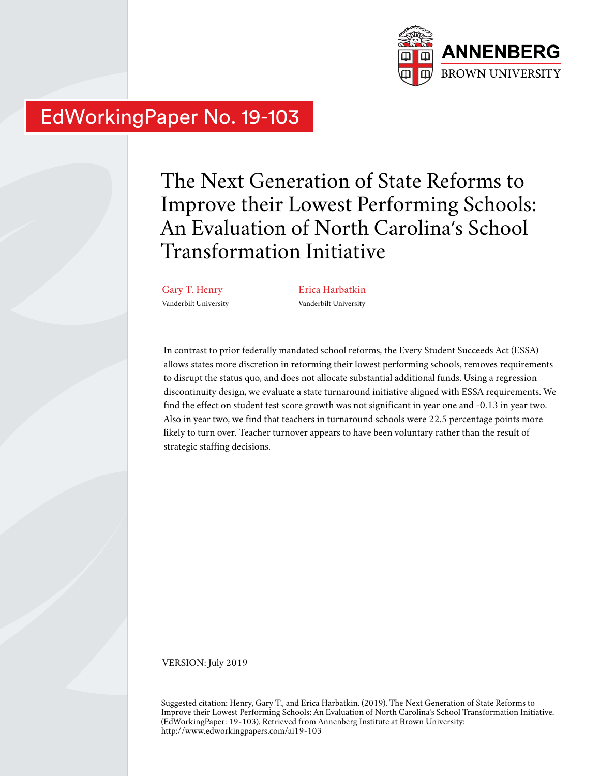

# EdWorkingPaper No. 19-103

The Next Generation of State Reforms to Improve their Lowest Performing Schools: An Evaluation of North Carolina's School Transformation Initiative

Gary T. Henry Vanderbilt University Erica Harbatkin Vanderbilt University

In contrast to prior federally mandated school reforms, the Every Student Succeeds Act (ESSA) allows states more discretion in reforming their lowest performing schools, removes requirements to disrupt the status quo, and does not allocate substantial additional funds. Using a regression discontinuity design, we evaluate a state turnaround initiative aligned with ESSA requirements. We find the effect on student test score growth was not significant in year one and -0.13 in year two. Also in year two, we find that teachers in turnaround schools were 22.5 percentage points more likely to turn over. Teacher turnover appears to have been voluntary rather than the result of strategic staffing decisions.

VERSION: July 2019

Suggested citation: Henry, Gary T., and Erica Harbatkin. (2019). The Next Generation of State Reforms to Improve their Lowest Performing Schools: An Evaluation of North Carolina's School Transformation Initiative. (EdWorkingPaper: 19-103). Retrieved from Annenberg Institute at Brown University: http://www.edworkingpapers.com/ai19-103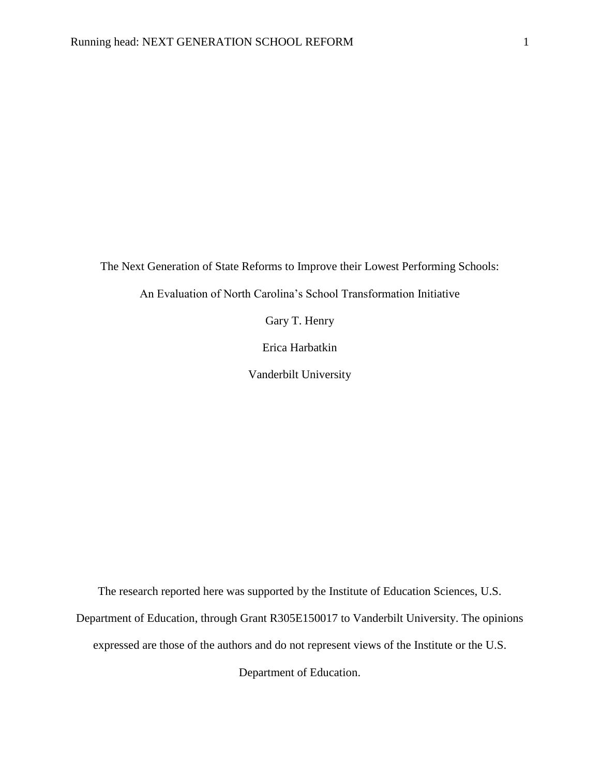The Next Generation of State Reforms to Improve their Lowest Performing Schools:

An Evaluation of North Carolina's School Transformation Initiative

Gary T. Henry

Erica Harbatkin

Vanderbilt University

The research reported here was supported by the Institute of Education Sciences, U.S.

Department of Education, through Grant R305E150017 to Vanderbilt University. The opinions

expressed are those of the authors and do not represent views of the Institute or the U.S.

Department of Education.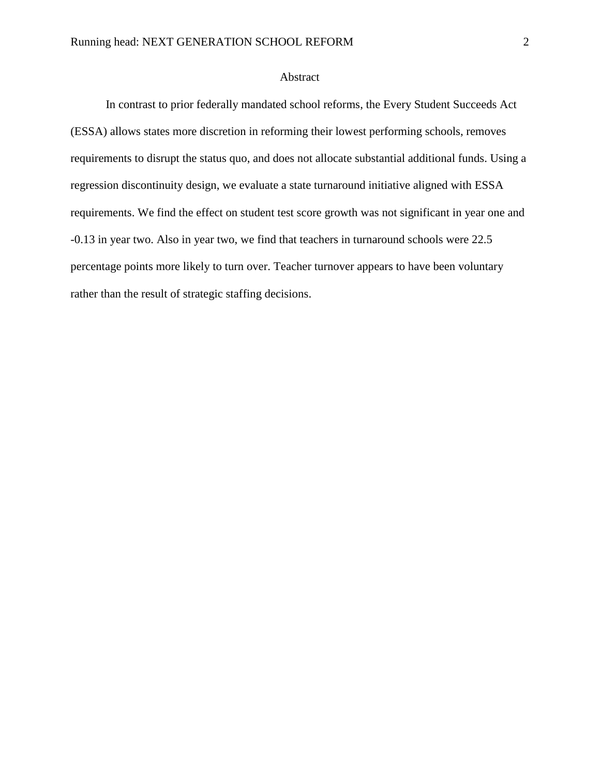### Abstract

In contrast to prior federally mandated school reforms, the Every Student Succeeds Act (ESSA) allows states more discretion in reforming their lowest performing schools, removes requirements to disrupt the status quo, and does not allocate substantial additional funds. Using a regression discontinuity design, we evaluate a state turnaround initiative aligned with ESSA requirements. We find the effect on student test score growth was not significant in year one and -0.13 in year two. Also in year two, we find that teachers in turnaround schools were 22.5 percentage points more likely to turn over. Teacher turnover appears to have been voluntary rather than the result of strategic staffing decisions.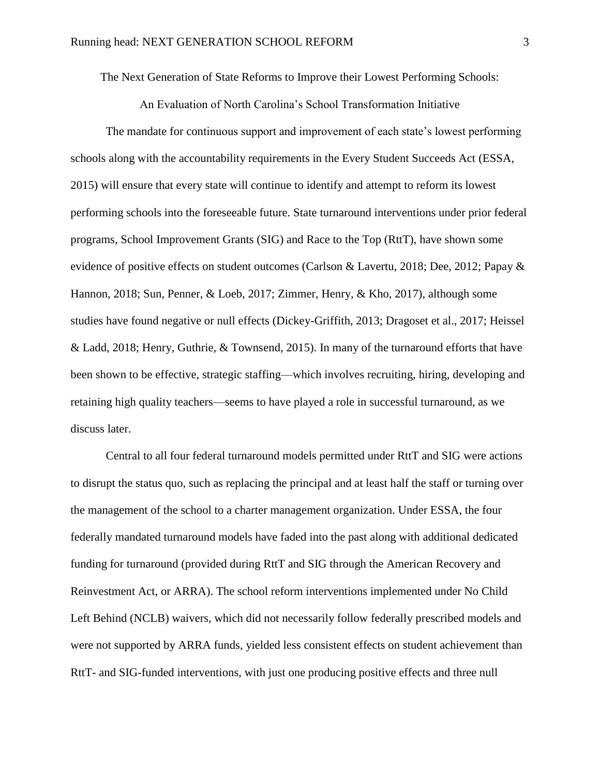The Next Generation of State Reforms to Improve their Lowest Performing Schools:

An Evaluation of North Carolina's School Transformation Initiative

The mandate for continuous support and improvement of each state's lowest performing schools along with the accountability requirements in the Every Student Succeeds Act (ESSA, 2015) will ensure that every state will continue to identify and attempt to reform its lowest performing schools into the foreseeable future. State turnaround interventions under prior federal programs, School Improvement Grants (SIG) and Race to the Top (RttT), have shown some evidence of positive effects on student outcomes (Carlson & Lavertu, 2018; Dee, 2012; Papay & Hannon, 2018; Sun, Penner, & Loeb, 2017; Zimmer, Henry, & Kho, 2017), although some studies have found negative or null effects (Dickey-Griffith, 2013; Dragoset et al., 2017; Heissel & Ladd, 2018; Henry, Guthrie, & Townsend, 2015). In many of the turnaround efforts that have been shown to be effective, strategic staffing—which involves recruiting, hiring, developing and retaining high quality teachers—seems to have played a role in successful turnaround, as we discuss later.

Central to all four federal turnaround models permitted under RttT and SIG were actions to disrupt the status quo, such as replacing the principal and at least half the staff or turning over the management of the school to a charter management organization. Under ESSA, the four federally mandated turnaround models have faded into the past along with additional dedicated funding for turnaround (provided during RttT and SIG through the American Recovery and Reinvestment Act, or ARRA). The school reform interventions implemented under No Child Left Behind (NCLB) waivers, which did not necessarily follow federally prescribed models and were not supported by ARRA funds, yielded less consistent effects on student achievement than RttT- and SIG-funded interventions, with just one producing positive effects and three null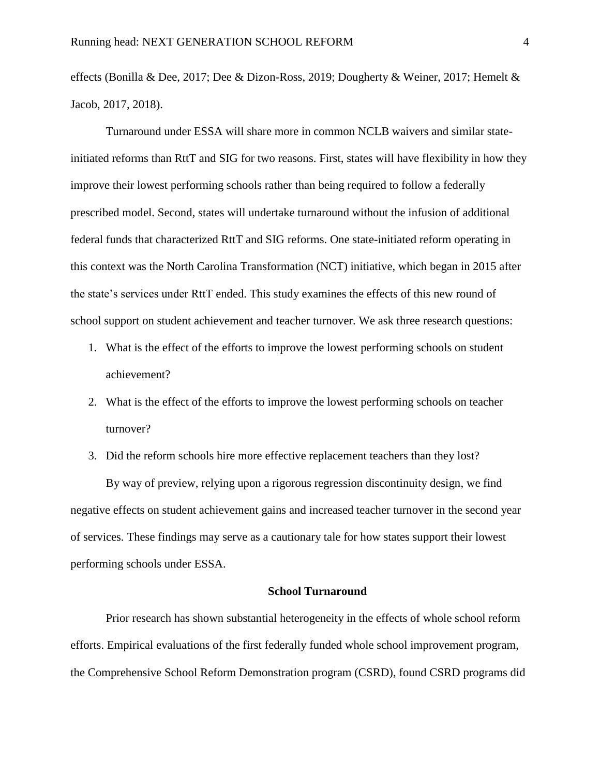effects (Bonilla & Dee, 2017; Dee & Dizon-Ross, 2019; Dougherty & Weiner, 2017; Hemelt & Jacob, 2017, 2018).

Turnaround under ESSA will share more in common NCLB waivers and similar stateinitiated reforms than RttT and SIG for two reasons. First, states will have flexibility in how they improve their lowest performing schools rather than being required to follow a federally prescribed model. Second, states will undertake turnaround without the infusion of additional federal funds that characterized RttT and SIG reforms. One state-initiated reform operating in this context was the North Carolina Transformation (NCT) initiative, which began in 2015 after the state's services under RttT ended. This study examines the effects of this new round of school support on student achievement and teacher turnover. We ask three research questions:

- 1. What is the effect of the efforts to improve the lowest performing schools on student achievement?
- 2. What is the effect of the efforts to improve the lowest performing schools on teacher turnover?
- 3. Did the reform schools hire more effective replacement teachers than they lost? By way of preview, relying upon a rigorous regression discontinuity design, we find negative effects on student achievement gains and increased teacher turnover in the second year of services. These findings may serve as a cautionary tale for how states support their lowest performing schools under ESSA.

### **School Turnaround**

Prior research has shown substantial heterogeneity in the effects of whole school reform efforts. Empirical evaluations of the first federally funded whole school improvement program, the Comprehensive School Reform Demonstration program (CSRD), found CSRD programs did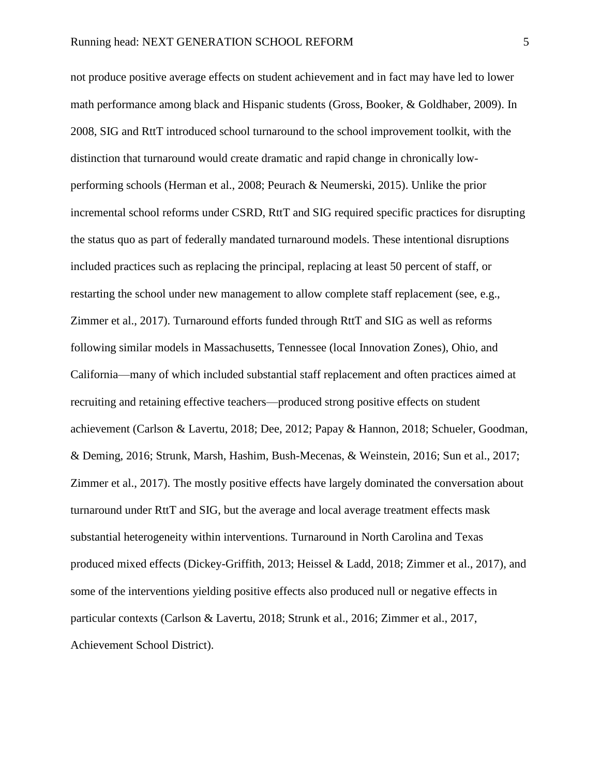not produce positive average effects on student achievement and in fact may have led to lower math performance among black and Hispanic students (Gross, Booker, & Goldhaber, 2009). In 2008, SIG and RttT introduced school turnaround to the school improvement toolkit, with the distinction that turnaround would create dramatic and rapid change in chronically lowperforming schools (Herman et al., 2008; Peurach & Neumerski, 2015). Unlike the prior incremental school reforms under CSRD, RttT and SIG required specific practices for disrupting the status quo as part of federally mandated turnaround models. These intentional disruptions included practices such as replacing the principal, replacing at least 50 percent of staff, or restarting the school under new management to allow complete staff replacement (see, e.g., Zimmer et al., 2017). Turnaround efforts funded through RttT and SIG as well as reforms following similar models in Massachusetts, Tennessee (local Innovation Zones), Ohio, and California—many of which included substantial staff replacement and often practices aimed at recruiting and retaining effective teachers—produced strong positive effects on student achievement (Carlson & Lavertu, 2018; Dee, 2012; Papay & Hannon, 2018; Schueler, Goodman, & Deming, 2016; Strunk, Marsh, Hashim, Bush-Mecenas, & Weinstein, 2016; Sun et al., 2017; Zimmer et al., 2017). The mostly positive effects have largely dominated the conversation about turnaround under RttT and SIG, but the average and local average treatment effects mask substantial heterogeneity within interventions. Turnaround in North Carolina and Texas produced mixed effects (Dickey-Griffith, 2013; Heissel & Ladd, 2018; Zimmer et al., 2017), and some of the interventions yielding positive effects also produced null or negative effects in particular contexts (Carlson & Lavertu, 2018; Strunk et al., 2016; Zimmer et al., 2017, Achievement School District).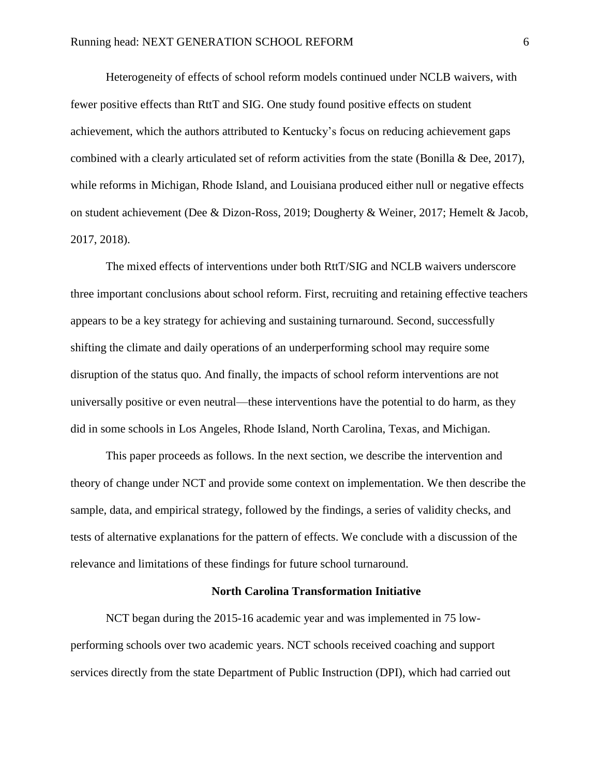Heterogeneity of effects of school reform models continued under NCLB waivers, with fewer positive effects than RttT and SIG. One study found positive effects on student achievement, which the authors attributed to Kentucky's focus on reducing achievement gaps combined with a clearly articulated set of reform activities from the state (Bonilla & Dee, 2017), while reforms in Michigan, Rhode Island, and Louisiana produced either null or negative effects on student achievement (Dee & Dizon-Ross, 2019; Dougherty & Weiner, 2017; Hemelt & Jacob, 2017, 2018).

The mixed effects of interventions under both RttT/SIG and NCLB waivers underscore three important conclusions about school reform. First, recruiting and retaining effective teachers appears to be a key strategy for achieving and sustaining turnaround. Second, successfully shifting the climate and daily operations of an underperforming school may require some disruption of the status quo. And finally, the impacts of school reform interventions are not universally positive or even neutral—these interventions have the potential to do harm, as they did in some schools in Los Angeles, Rhode Island, North Carolina, Texas, and Michigan.

This paper proceeds as follows. In the next section, we describe the intervention and theory of change under NCT and provide some context on implementation. We then describe the sample, data, and empirical strategy, followed by the findings, a series of validity checks, and tests of alternative explanations for the pattern of effects. We conclude with a discussion of the relevance and limitations of these findings for future school turnaround.

#### **North Carolina Transformation Initiative**

NCT began during the 2015-16 academic year and was implemented in 75 lowperforming schools over two academic years. NCT schools received coaching and support services directly from the state Department of Public Instruction (DPI), which had carried out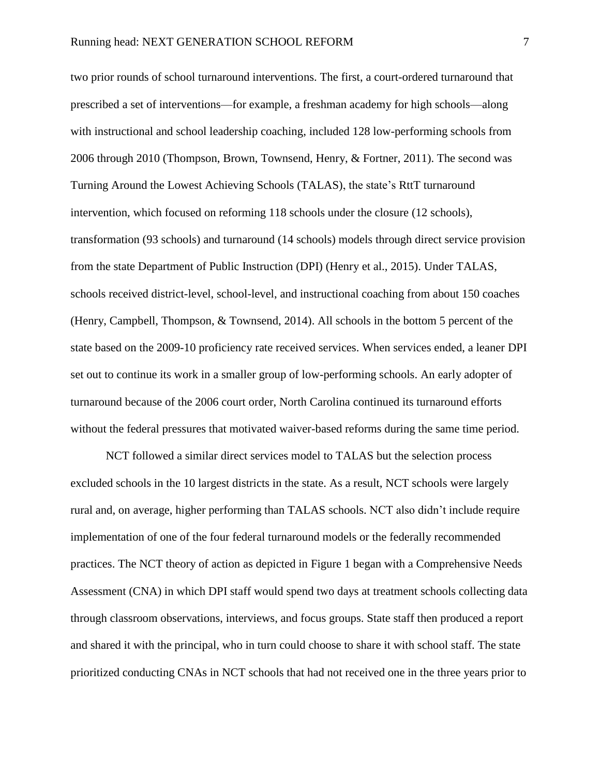two prior rounds of school turnaround interventions. The first, a court-ordered turnaround that prescribed a set of interventions—for example, a freshman academy for high schools—along with instructional and school leadership coaching, included 128 low-performing schools from 2006 through 2010 (Thompson, Brown, Townsend, Henry, & Fortner, 2011). The second was Turning Around the Lowest Achieving Schools (TALAS), the state's RttT turnaround intervention, which focused on reforming 118 schools under the closure (12 schools), transformation (93 schools) and turnaround (14 schools) models through direct service provision from the state Department of Public Instruction (DPI) (Henry et al., 2015). Under TALAS, schools received district-level, school-level, and instructional coaching from about 150 coaches (Henry, Campbell, Thompson, & Townsend, 2014). All schools in the bottom 5 percent of the state based on the 2009-10 proficiency rate received services. When services ended, a leaner DPI set out to continue its work in a smaller group of low-performing schools. An early adopter of turnaround because of the 2006 court order, North Carolina continued its turnaround efforts without the federal pressures that motivated waiver-based reforms during the same time period.

NCT followed a similar direct services model to TALAS but the selection process excluded schools in the 10 largest districts in the state. As a result, NCT schools were largely rural and, on average, higher performing than TALAS schools. NCT also didn't include require implementation of one of the four federal turnaround models or the federally recommended practices. The NCT theory of action as depicted in [Figure 1](#page-46-0) began with a Comprehensive Needs Assessment (CNA) in which DPI staff would spend two days at treatment schools collecting data through classroom observations, interviews, and focus groups. State staff then produced a report and shared it with the principal, who in turn could choose to share it with school staff. The state prioritized conducting CNAs in NCT schools that had not received one in the three years prior to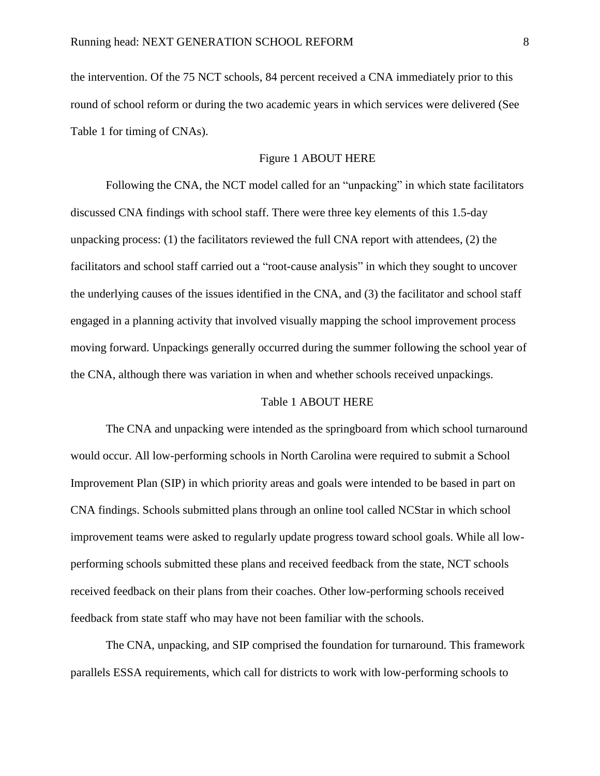the intervention. Of the 75 NCT schools, 84 percent received a CNA immediately prior to this round of school reform or during the two academic years in which services were delivered (See [Table 1](#page-38-0) for timing of CNAs).

### [Figure 1](#page-46-0) ABOUT HERE

Following the CNA, the NCT model called for an "unpacking" in which state facilitators discussed CNA findings with school staff. There were three key elements of this 1.5-day unpacking process: (1) the facilitators reviewed the full CNA report with attendees, (2) the facilitators and school staff carried out a "root-cause analysis" in which they sought to uncover the underlying causes of the issues identified in the CNA, and (3) the facilitator and school staff engaged in a planning activity that involved visually mapping the school improvement process moving forward. Unpackings generally occurred during the summer following the school year of the CNA, although there was variation in when and whether schools received unpackings.

#### [Table 1](#page-38-0) ABOUT HERE

The CNA and unpacking were intended as the springboard from which school turnaround would occur. All low-performing schools in North Carolina were required to submit a School Improvement Plan (SIP) in which priority areas and goals were intended to be based in part on CNA findings. Schools submitted plans through an online tool called NCStar in which school improvement teams were asked to regularly update progress toward school goals. While all lowperforming schools submitted these plans and received feedback from the state, NCT schools received feedback on their plans from their coaches. Other low-performing schools received feedback from state staff who may have not been familiar with the schools.

The CNA, unpacking, and SIP comprised the foundation for turnaround. This framework parallels ESSA requirements, which call for districts to work with low-performing schools to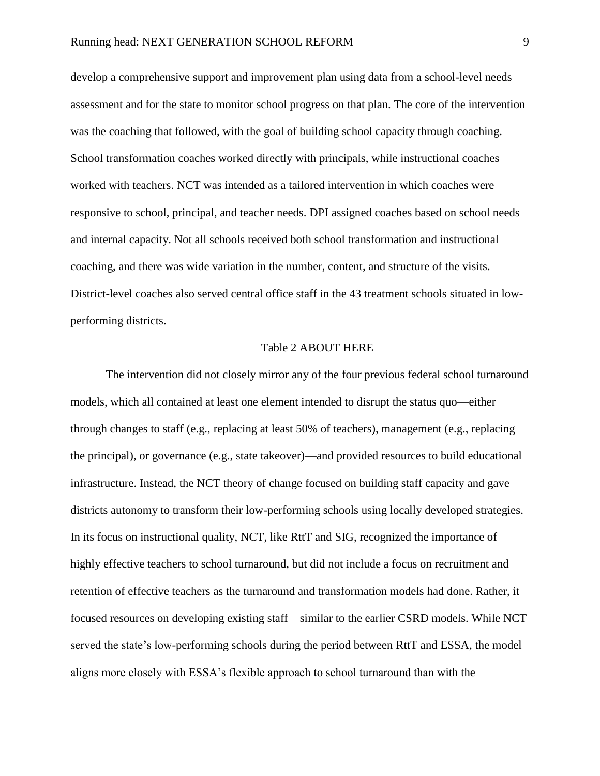develop a comprehensive support and improvement plan using data from a school-level needs assessment and for the state to monitor school progress on that plan. The core of the intervention was the coaching that followed, with the goal of building school capacity through coaching. School transformation coaches worked directly with principals, while instructional coaches worked with teachers. NCT was intended as a tailored intervention in which coaches were responsive to school, principal, and teacher needs. DPI assigned coaches based on school needs and internal capacity. Not all schools received both school transformation and instructional coaching, and there was wide variation in the number, content, and structure of the visits. District-level coaches also served central office staff in the 43 treatment schools situated in lowperforming districts.

### [Table 2](#page-38-1) ABOUT HERE

The intervention did not closely mirror any of the four previous federal school turnaround models, which all contained at least one element intended to disrupt the status quo—either through changes to staff (e.g., replacing at least 50% of teachers), management (e.g., replacing the principal), or governance (e.g., state takeover)—and provided resources to build educational infrastructure. Instead, the NCT theory of change focused on building staff capacity and gave districts autonomy to transform their low-performing schools using locally developed strategies. In its focus on instructional quality, NCT, like RttT and SIG, recognized the importance of highly effective teachers to school turnaround, but did not include a focus on recruitment and retention of effective teachers as the turnaround and transformation models had done. Rather, it focused resources on developing existing staff—similar to the earlier CSRD models. While NCT served the state's low-performing schools during the period between RttT and ESSA, the model aligns more closely with ESSA's flexible approach to school turnaround than with the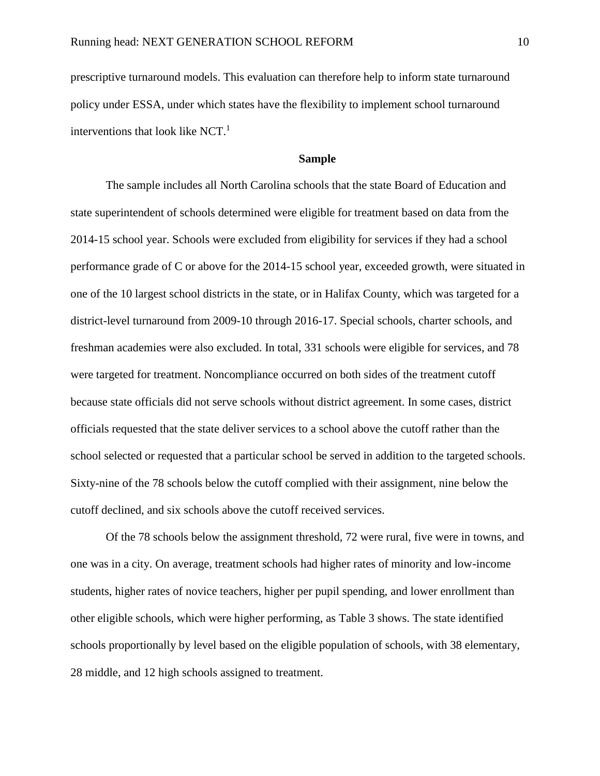prescriptive turnaround models. This evaluation can therefore help to inform state turnaround policy under ESSA, under which states have the flexibility to implement school turnaround interventions that look like NCT. 1

### **Sample**

The sample includes all North Carolina schools that the state Board of Education and state superintendent of schools determined were eligible for treatment based on data from the 2014-15 school year. Schools were excluded from eligibility for services if they had a school performance grade of C or above for the 2014-15 school year, exceeded growth, were situated in one of the 10 largest school districts in the state, or in Halifax County, which was targeted for a district-level turnaround from 2009-10 through 2016-17. Special schools, charter schools, and freshman academies were also excluded. In total, 331 schools were eligible for services, and 78 were targeted for treatment. Noncompliance occurred on both sides of the treatment cutoff because state officials did not serve schools without district agreement. In some cases, district officials requested that the state deliver services to a school above the cutoff rather than the school selected or requested that a particular school be served in addition to the targeted schools. Sixty-nine of the 78 schools below the cutoff complied with their assignment, nine below the cutoff declined, and six schools above the cutoff received services.

Of the 78 schools below the assignment threshold, 72 were rural, five were in towns, and one was in a city. On average, treatment schools had higher rates of minority and low-income students, higher rates of novice teachers, higher per pupil spending, and lower enrollment than other eligible schools, which were higher performing, as [Table 3](#page-39-0) shows. The state identified schools proportionally by level based on the eligible population of schools, with 38 elementary, 28 middle, and 12 high schools assigned to treatment.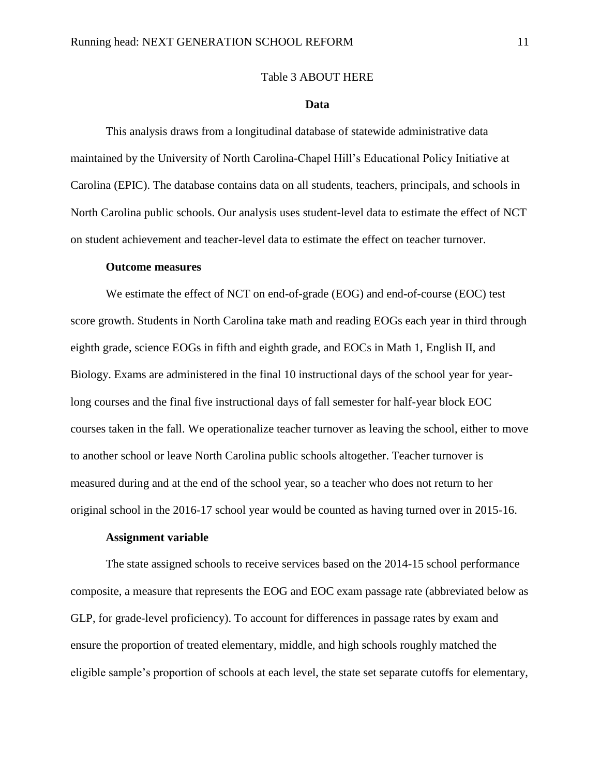#### [Table 3](#page-39-0) ABOUT HERE

#### **Data**

<span id="page-11-0"></span>This analysis draws from a longitudinal database of statewide administrative data maintained by the University of North Carolina-Chapel Hill's Educational Policy Initiative at Carolina (EPIC). The database contains data on all students, teachers, principals, and schools in North Carolina public schools. Our analysis uses student-level data to estimate the effect of NCT on student achievement and teacher-level data to estimate the effect on teacher turnover.

#### **Outcome measures**

We estimate the effect of NCT on end-of-grade (EOG) and end-of-course (EOC) test score growth. Students in North Carolina take math and reading EOGs each year in third through eighth grade, science EOGs in fifth and eighth grade, and EOCs in Math 1, English II, and Biology. Exams are administered in the final 10 instructional days of the school year for yearlong courses and the final five instructional days of fall semester for half-year block EOC courses taken in the fall. We operationalize teacher turnover as leaving the school, either to move to another school or leave North Carolina public schools altogether. Teacher turnover is measured during and at the end of the school year, so a teacher who does not return to her original school in the 2016-17 school year would be counted as having turned over in 2015-16.

### **Assignment variable**

The state assigned schools to receive services based on the 2014-15 school performance composite, a measure that represents the EOG and EOC exam passage rate (abbreviated below as GLP, for grade-level proficiency). To account for differences in passage rates by exam and ensure the proportion of treated elementary, middle, and high schools roughly matched the eligible sample's proportion of schools at each level, the state set separate cutoffs for elementary,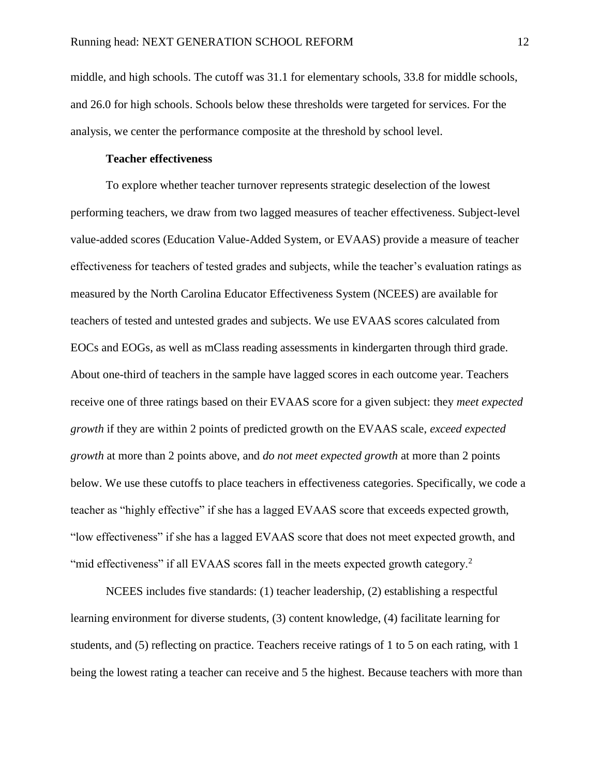middle, and high schools. The cutoff was 31.1 for elementary schools, 33.8 for middle schools, and 26.0 for high schools. Schools below these thresholds were targeted for services. For the analysis, we center the performance composite at the threshold by school level.

### **Teacher effectiveness**

To explore whether teacher turnover represents strategic deselection of the lowest performing teachers, we draw from two lagged measures of teacher effectiveness. Subject-level value-added scores (Education Value-Added System, or EVAAS) provide a measure of teacher effectiveness for teachers of tested grades and subjects, while the teacher's evaluation ratings as measured by the North Carolina Educator Effectiveness System (NCEES) are available for teachers of tested and untested grades and subjects. We use EVAAS scores calculated from EOCs and EOGs, as well as mClass reading assessments in kindergarten through third grade. About one-third of teachers in the sample have lagged scores in each outcome year. Teachers receive one of three ratings based on their EVAAS score for a given subject: they *meet expected growth* if they are within 2 points of predicted growth on the EVAAS scale, *exceed expected growth* at more than 2 points above, and *do not meet expected growth* at more than 2 points below. We use these cutoffs to place teachers in effectiveness categories. Specifically, we code a teacher as "highly effective" if she has a lagged EVAAS score that exceeds expected growth, "low effectiveness" if she has a lagged EVAAS score that does not meet expected growth, and "mid effectiveness" if all EVAAS scores fall in the meets expected growth category.<sup>2</sup>

NCEES includes five standards: (1) teacher leadership, (2) establishing a respectful learning environment for diverse students, (3) content knowledge, (4) facilitate learning for students, and (5) reflecting on practice. Teachers receive ratings of 1 to 5 on each rating, with 1 being the lowest rating a teacher can receive and 5 the highest. Because teachers with more than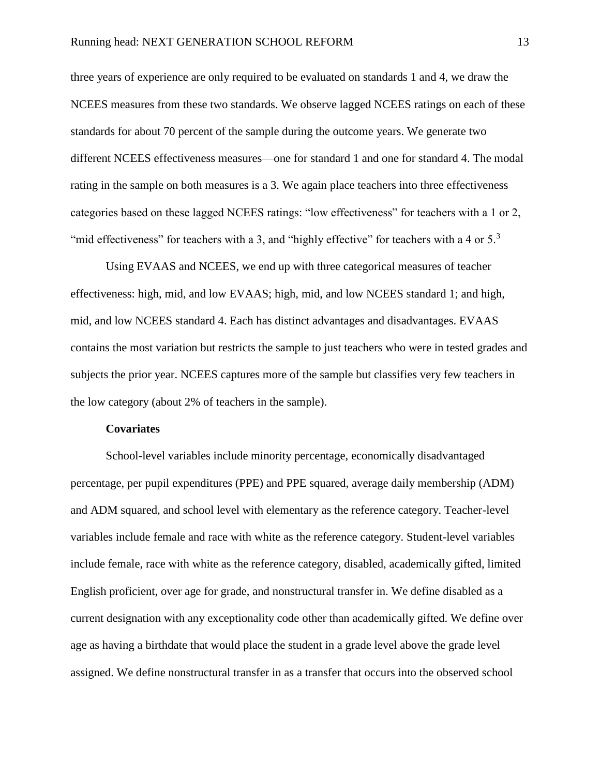three years of experience are only required to be evaluated on standards 1 and 4, we draw the NCEES measures from these two standards. We observe lagged NCEES ratings on each of these standards for about 70 percent of the sample during the outcome years. We generate two different NCEES effectiveness measures—one for standard 1 and one for standard 4. The modal rating in the sample on both measures is a 3. We again place teachers into three effectiveness categories based on these lagged NCEES ratings: "low effectiveness" for teachers with a 1 or 2, "mid effectiveness" for teachers with a 3, and "highly effective" for teachers with a 4 or  $5<sup>3</sup>$ 

Using EVAAS and NCEES, we end up with three categorical measures of teacher effectiveness: high, mid, and low EVAAS; high, mid, and low NCEES standard 1; and high, mid, and low NCEES standard 4. Each has distinct advantages and disadvantages. EVAAS contains the most variation but restricts the sample to just teachers who were in tested grades and subjects the prior year. NCEES captures more of the sample but classifies very few teachers in the low category (about 2% of teachers in the sample).

#### **Covariates**

School-level variables include minority percentage, economically disadvantaged percentage, per pupil expenditures (PPE) and PPE squared, average daily membership (ADM) and ADM squared, and school level with elementary as the reference category. Teacher-level variables include female and race with white as the reference category. Student-level variables include female, race with white as the reference category, disabled, academically gifted, limited English proficient, over age for grade, and nonstructural transfer in. We define disabled as a current designation with any exceptionality code other than academically gifted. We define over age as having a birthdate that would place the student in a grade level above the grade level assigned. We define nonstructural transfer in as a transfer that occurs into the observed school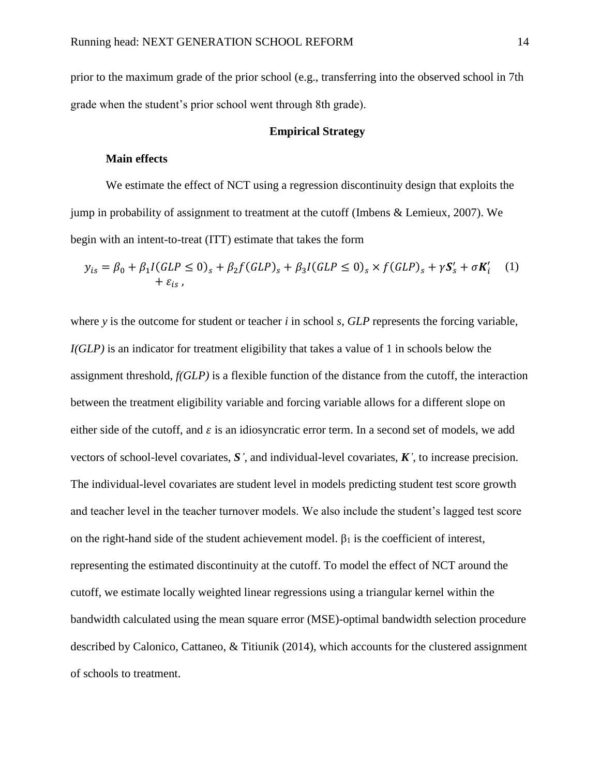prior to the maximum grade of the prior school (e.g., transferring into the observed school in 7th grade when the student's prior school went through 8th grade).

### **Empirical Strategy**

### **Main effects**

We estimate the effect of NCT using a regression discontinuity design that exploits the jump in probability of assignment to treatment at the cutoff (Imbens & Lemieux, 2007). We begin with an intent-to-treat (ITT) estimate that takes the form

$$
y_{is} = \beta_0 + \beta_1 I(GLP \le 0)_s + \beta_2 f(GLP)_s + \beta_3 I(GLP \le 0)_s \times f(GLP)_s + \gamma S'_s + \sigma K'_i \tag{1}
$$
  
+  $\varepsilon_{is}$ ,

where *y* is the outcome for student or teacher *i* in school *s*, *GLP* represents the forcing variable, *I(GLP)* is an indicator for treatment eligibility that takes a value of 1 in schools below the assignment threshold, *f(GLP)* is a flexible function of the distance from the cutoff, the interaction between the treatment eligibility variable and forcing variable allows for a different slope on either side of the cutoff, and  $\varepsilon$  is an idiosyncratic error term. In a second set of models, we add vectors of school-level covariates, *S'*, and individual-level covariates, *K'*, to increase precision. The individual-level covariates are student level in models predicting student test score growth and teacher level in the teacher turnover models. We also include the student's lagged test score on the right-hand side of the student achievement model.  $\beta_1$  is the coefficient of interest, representing the estimated discontinuity at the cutoff. To model the effect of NCT around the cutoff, we estimate locally weighted linear regressions using a triangular kernel within the bandwidth calculated using the mean square error (MSE)-optimal bandwidth selection procedure described by Calonico, Cattaneo, & Titiunik (2014), which accounts for the clustered assignment of schools to treatment.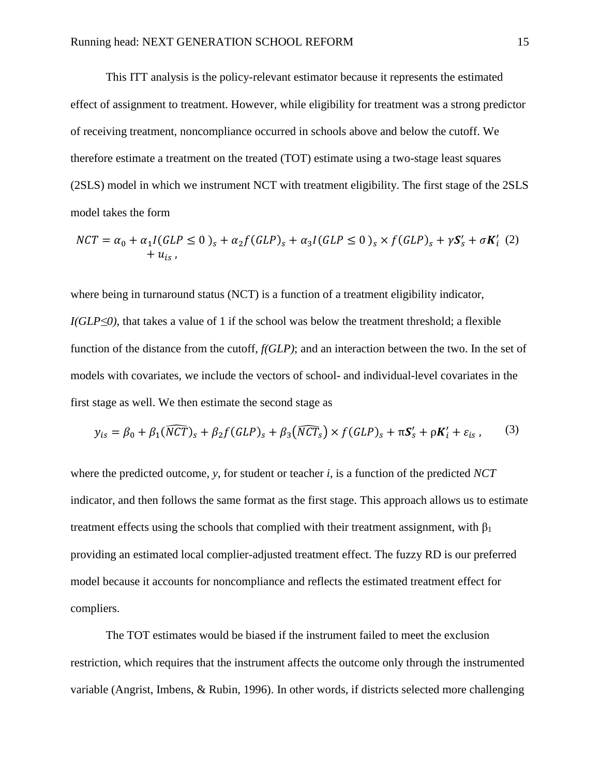This ITT analysis is the policy-relevant estimator because it represents the estimated effect of assignment to treatment. However, while eligibility for treatment was a strong predictor of receiving treatment, noncompliance occurred in schools above and below the cutoff. We therefore estimate a treatment on the treated (TOT) estimate using a two-stage least squares (2SLS) model in which we instrument NCT with treatment eligibility. The first stage of the 2SLS model takes the form

$$
NCT = \alpha_0 + \alpha_1 I(GLP \le 0)_s + \alpha_2 f(GLP)_s + \alpha_3 I(GLP \le 0)_s \times f(GLP)_s + \gamma S'_s + \sigma K'_i \tag{2}
$$

where being in turnaround status (NCT) is a function of a treatment eligibility indicator, *I(GLP*≤0), that takes a value of 1 if the school was below the treatment threshold; a flexible function of the distance from the cutoff, *f(GLP)*; and an interaction between the two. In the set of models with covariates, we include the vectors of school- and individual-level covariates in the first stage as well. We then estimate the second stage as

$$
y_{is} = \beta_0 + \beta_1(\widehat{NCT})_s + \beta_2 f(GLP)_s + \beta_3(\widehat{NCT}_s) \times f(GLP)_s + \pi S'_s + \rho K'_i + \varepsilon_{is},\qquad(3)
$$

where the predicted outcome, *y*, for student or teacher *i*, is a function of the predicted *NCT* indicator, and then follows the same format as the first stage. This approach allows us to estimate treatment effects using the schools that complied with their treatment assignment, with  $\beta_1$ providing an estimated local complier-adjusted treatment effect. The fuzzy RD is our preferred model because it accounts for noncompliance and reflects the estimated treatment effect for compliers.

The TOT estimates would be biased if the instrument failed to meet the exclusion restriction, which requires that the instrument affects the outcome only through the instrumented variable (Angrist, Imbens, & Rubin, 1996). In other words, if districts selected more challenging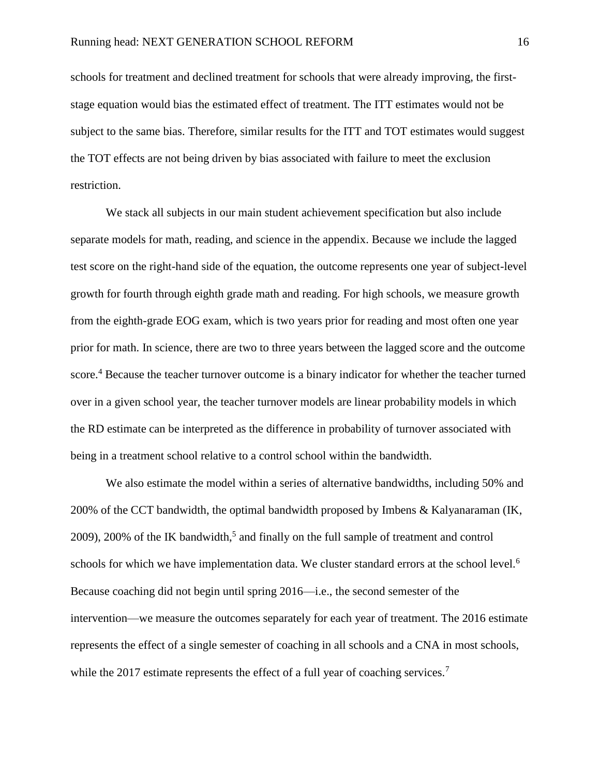schools for treatment and declined treatment for schools that were already improving, the firststage equation would bias the estimated effect of treatment. The ITT estimates would not be subject to the same bias. Therefore, similar results for the ITT and TOT estimates would suggest the TOT effects are not being driven by bias associated with failure to meet the exclusion restriction.

We stack all subjects in our main student achievement specification but also include separate models for math, reading, and science in the appendix. Because we include the lagged test score on the right-hand side of the equation, the outcome represents one year of subject-level growth for fourth through eighth grade math and reading. For high schools, we measure growth from the eighth-grade EOG exam, which is two years prior for reading and most often one year prior for math. In science, there are two to three years between the lagged score and the outcome score.<sup>4</sup> Because the teacher turnover outcome is a binary indicator for whether the teacher turned over in a given school year, the teacher turnover models are linear probability models in which the RD estimate can be interpreted as the difference in probability of turnover associated with being in a treatment school relative to a control school within the bandwidth.

We also estimate the model within a series of alternative bandwidths, including 50% and 200% of the CCT bandwidth, the optimal bandwidth proposed by Imbens & Kalyanaraman (IK,  $2009$ ),  $200\%$  of the IK bandwidth,<sup>5</sup> and finally on the full sample of treatment and control schools for which we have implementation data. We cluster standard errors at the school level.<sup>6</sup> Because coaching did not begin until spring 2016—i.e., the second semester of the intervention—we measure the outcomes separately for each year of treatment. The 2016 estimate represents the effect of a single semester of coaching in all schools and a CNA in most schools, while the 2017 estimate represents the effect of a full year of coaching services.<sup>7</sup>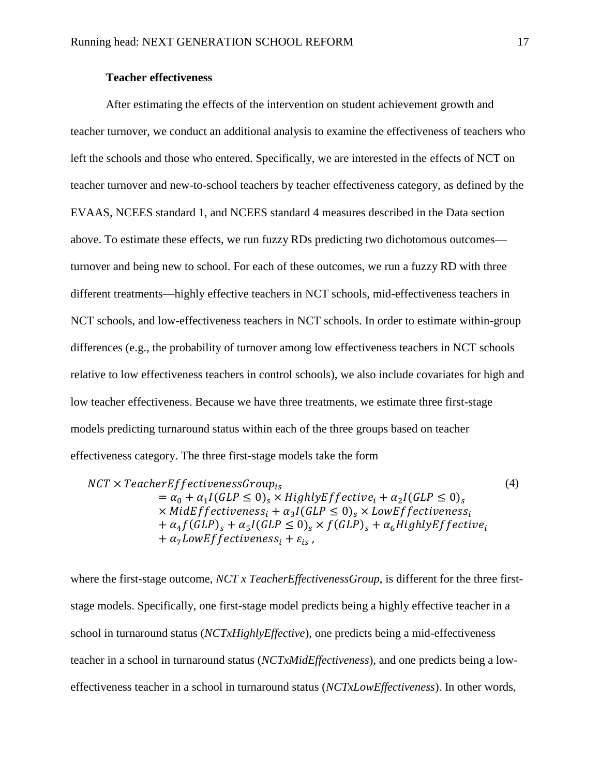### **Teacher effectiveness**

After estimating the effects of the intervention on student achievement growth and teacher turnover, we conduct an additional analysis to examine the effectiveness of teachers who left the schools and those who entered. Specifically, we are interested in the effects of NCT on teacher turnover and new-to-school teachers by teacher effectiveness category, as defined by the EVAAS, NCEES standard 1, and NCEES standard 4 measures described in the [Data](#page-11-0) section above. To estimate these effects, we run fuzzy RDs predicting two dichotomous outcomes turnover and being new to school. For each of these outcomes, we run a fuzzy RD with three different treatments—highly effective teachers in NCT schools, mid-effectiveness teachers in NCT schools, and low-effectiveness teachers in NCT schools. In order to estimate within-group differences (e.g., the probability of turnover among low effectiveness teachers in NCT schools relative to low effectiveness teachers in control schools), we also include covariates for high and low teacher effectiveness. Because we have three treatments, we estimate three first-stage models predicting turnaround status within each of the three groups based on teacher effectiveness category. The three first-stage models take the form

 $NCT \times TeacherEffectivenessGroup_{is}$  $=\alpha_0 + \alpha_1 I(GLP \leq 0)_s \times Highly Effective_i + \alpha_2 I(GLP \leq 0)_s$  $\times$  MidEffectiveness<sub>i</sub> +  $\alpha_3 I(GLP \leq 0)_s \times$  LowEffectiveness<sub>i</sub>  $+\alpha_4f(GLP)_s + \alpha_5I(GLP \leq 0)_s \times f(GLP)_s + \alpha_6HighlyEffective_i$  $+ \alpha_7 LowEffectiveness_i + \varepsilon_{is}$ , (4)

where the first-stage outcome, *NCT x TeacherEffectivenessGroup*, is different for the three firststage models. Specifically, one first-stage model predicts being a highly effective teacher in a school in turnaround status (*NCTxHighlyEffective*), one predicts being a mid-effectiveness teacher in a school in turnaround status (*NCTxMidEffectiveness*), and one predicts being a loweffectiveness teacher in a school in turnaround status (*NCTxLowEffectiveness*). In other words,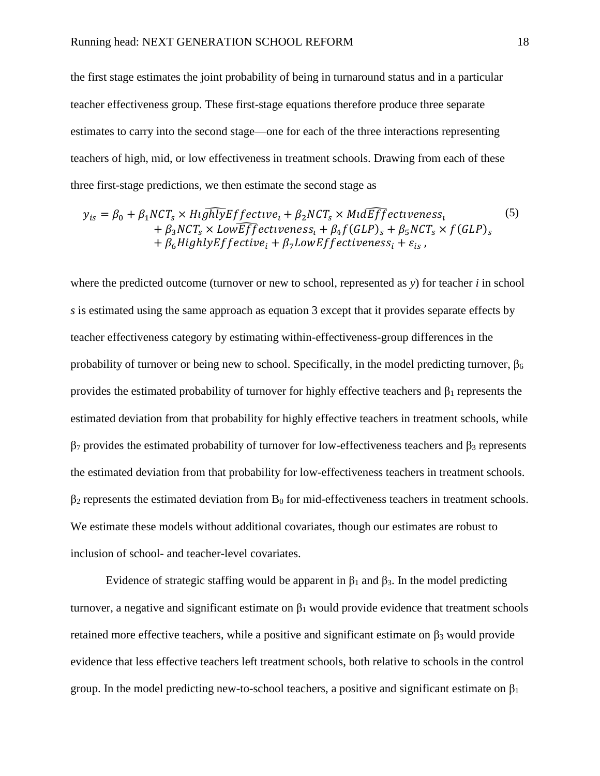the first stage estimates the joint probability of being in turnaround status and in a particular teacher effectiveness group. These first-stage equations therefore produce three separate estimates to carry into the second stage—one for each of the three interactions representing teachers of high, mid, or low effectiveness in treatment schools. Drawing from each of these three first-stage predictions, we then estimate the second stage as

$$
y_{is} = \beta_0 + \beta_1 NCT_s \times H \overline{u} \overline{h} \overline{l} y \overline{E} f f \overline{e}ctive_l + \beta_2 NCT_s \times M \overline{u} \overline{f} \overline{f} f \overline{e}ctiveness_l
$$
  
+  $\beta_3 NCT_s \times Low \overline{E} \overline{f} \overline{f} \overline{e}ctiveness_l + \beta_4 f (GLP)_s + \beta_5 NCT_s \times f (GLP)_s$   
+  $\beta_6 H \overline{u} \overline{g} \overline{h} \overline{f} \overline{f} \overline{e}ctive_l + \beta_7 L \overline{o} \overline{w} \overline{f} \overline{f} \overline{e}ctiveness_l + \varepsilon_{is}$ , (5)

where the predicted outcome (turnover or new to school, represented as *y*) for teacher *i* in school *s* is estimated using the same approach as equation 3 except that it provides separate effects by teacher effectiveness category by estimating within-effectiveness-group differences in the probability of turnover or being new to school. Specifically, in the model predicting turnover,  $\beta_6$ provides the estimated probability of turnover for highly effective teachers and  $\beta_1$  represents the estimated deviation from that probability for highly effective teachers in treatment schools, while  $β_7$  provides the estimated probability of turnover for low-effectiveness teachers and  $β_3$  represents the estimated deviation from that probability for low-effectiveness teachers in treatment schools.  $\beta_2$  represents the estimated deviation from  $B_0$  for mid-effectiveness teachers in treatment schools. We estimate these models without additional covariates, though our estimates are robust to inclusion of school- and teacher-level covariates.

Evidence of strategic staffing would be apparent in  $β_1$  and  $β_3$ . In the model predicting turnover, a negative and significant estimate on  $β_1$  would provide evidence that treatment schools retained more effective teachers, while a positive and significant estimate on  $\beta_3$  would provide evidence that less effective teachers left treatment schools, both relative to schools in the control group. In the model predicting new-to-school teachers, a positive and significant estimate on  $\beta_1$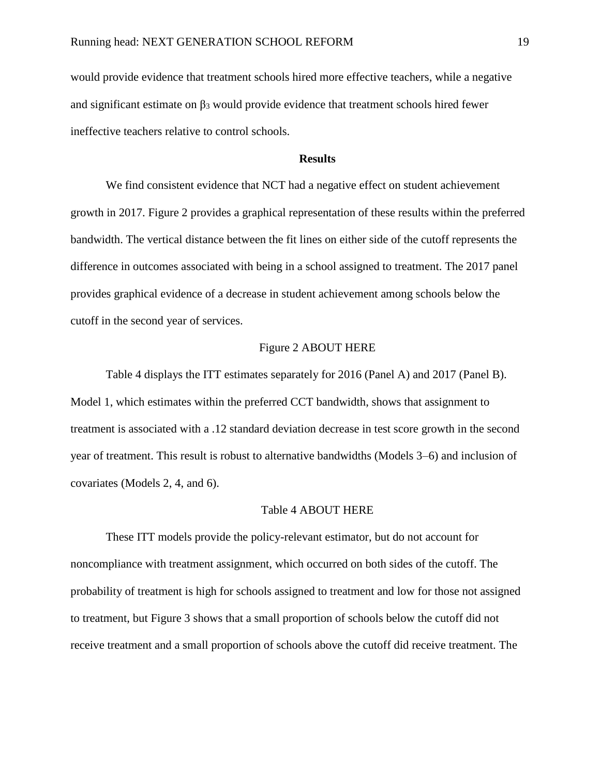would provide evidence that treatment schools hired more effective teachers, while a negative and significant estimate on  $\beta_3$  would provide evidence that treatment schools hired fewer ineffective teachers relative to control schools.

### **Results**

<span id="page-19-0"></span>We find consistent evidence that NCT had a negative effect on student achievement growth in 2017. [Figure 2](#page-46-1) provides a graphical representation of these results within the preferred bandwidth. The vertical distance between the fit lines on either side of the cutoff represents the difference in outcomes associated with being in a school assigned to treatment. The 2017 panel provides graphical evidence of a decrease in student achievement among schools below the cutoff in the second year of services.

### [Figure 2](#page-46-1) ABOUT HERE

[Table 4](#page-40-0) displays the ITT estimates separately for 2016 (Panel A) and 2017 (Panel B). Model 1, which estimates within the preferred CCT bandwidth, shows that assignment to treatment is associated with a .12 standard deviation decrease in test score growth in the second year of treatment. This result is robust to alternative bandwidths (Models 3–6) and inclusion of covariates (Models 2, 4, and 6).

#### [Table 4](#page-40-0) ABOUT HERE

These ITT models provide the policy-relevant estimator, but do not account for noncompliance with treatment assignment, which occurred on both sides of the cutoff. The probability of treatment is high for schools assigned to treatment and low for those not assigned to treatment, but [Figure 3](#page-47-0) shows that a small proportion of schools below the cutoff did not receive treatment and a small proportion of schools above the cutoff did receive treatment. The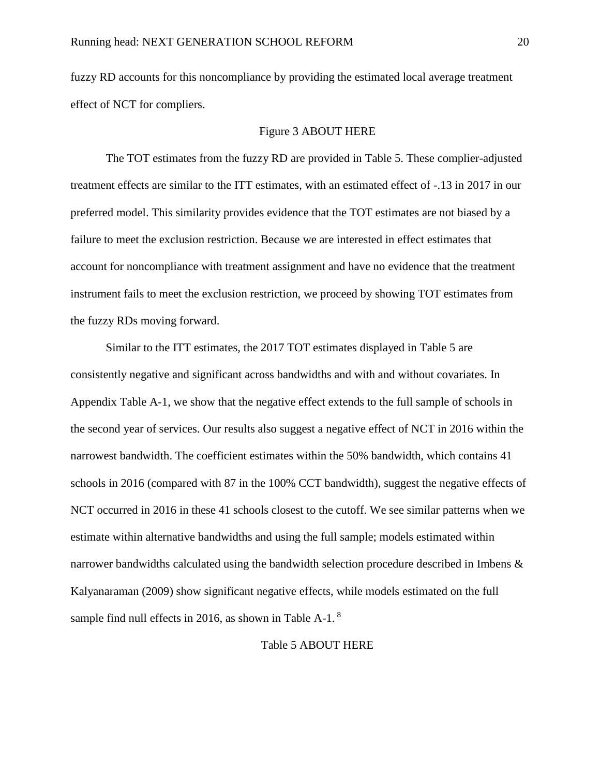fuzzy RD accounts for this noncompliance by providing the estimated local average treatment effect of NCT for compliers.

### [Figure 3](#page-47-0) ABOUT HERE

The TOT estimates from the fuzzy RD are provided in [Table 5.](#page-41-0) These complier-adjusted treatment effects are similar to the ITT estimates, with an estimated effect of -.13 in 2017 in our preferred model. This similarity provides evidence that the TOT estimates are not biased by a failure to meet the exclusion restriction. Because we are interested in effect estimates that account for noncompliance with treatment assignment and have no evidence that the treatment instrument fails to meet the exclusion restriction, we proceed by showing TOT estimates from the fuzzy RDs moving forward.

Similar to the ITT estimates, the 2017 TOT estimates displayed in [Table 5](#page-41-0) are consistently negative and significant across bandwidths and with and without covariates. In Appendix [Table A-1,](#page-49-0) we show that the negative effect extends to the full sample of schools in the second year of services. Our results also suggest a negative effect of NCT in 2016 within the narrowest bandwidth. The coefficient estimates within the 50% bandwidth, which contains 41 schools in 2016 (compared with 87 in the 100% CCT bandwidth), suggest the negative effects of NCT occurred in 2016 in these 41 schools closest to the cutoff. We see similar patterns when we estimate within alternative bandwidths and using the full sample; models estimated within narrower bandwidths calculated using the bandwidth selection procedure described in Imbens & Kalyanaraman (2009) show significant negative effects, while models estimated on the full sample find null effects in 2016, as shown in [Table A-1.](#page-49-0)<sup>8</sup>

#### [Table 5](#page-41-0) ABOUT HERE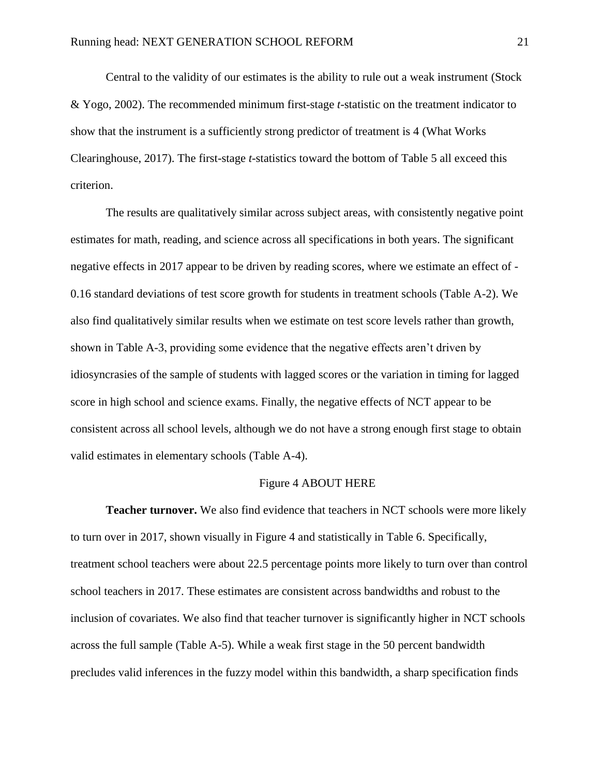Central to the validity of our estimates is the ability to rule out a weak instrument (Stock & Yogo, 2002). The recommended minimum first-stage *t*-statistic on the treatment indicator to show that the instrument is a sufficiently strong predictor of treatment is 4 (What Works Clearinghouse, 2017). The first-stage *t-*statistics toward the bottom of [Table 5](#page-41-0) all exceed this criterion.

The results are qualitatively similar across subject areas, with consistently negative point estimates for math, reading, and science across all specifications in both years. The significant negative effects in 2017 appear to be driven by reading scores, where we estimate an effect of - 0.16 standard deviations of test score growth for students in treatment schools [\(Table A-2\)](#page-50-0). We also find qualitatively similar results when we estimate on test score levels rather than growth, shown in [Table A-3,](#page-51-0) providing some evidence that the negative effects aren't driven by idiosyncrasies of the sample of students with lagged scores or the variation in timing for lagged score in high school and science exams. Finally, the negative effects of NCT appear to be consistent across all school levels, although we do not have a strong enough first stage to obtain valid estimates in elementary schools [\(Table A-4\)](#page-52-0).

#### [Figure 4](#page-47-1) ABOUT HERE

**Teacher turnover.** We also find evidence that teachers in NCT schools were more likely to turn over in 2017, shown visually in [Figure 4](#page-47-1) and statistically in [Table 6.](#page-42-0) Specifically, treatment school teachers were about 22.5 percentage points more likely to turn over than control school teachers in 2017. These estimates are consistent across bandwidths and robust to the inclusion of covariates. We also find that teacher turnover is significantly higher in NCT schools across the full sample [\(Table A-5\)](#page-54-0). While a weak first stage in the 50 percent bandwidth precludes valid inferences in the fuzzy model within this bandwidth, a sharp specification finds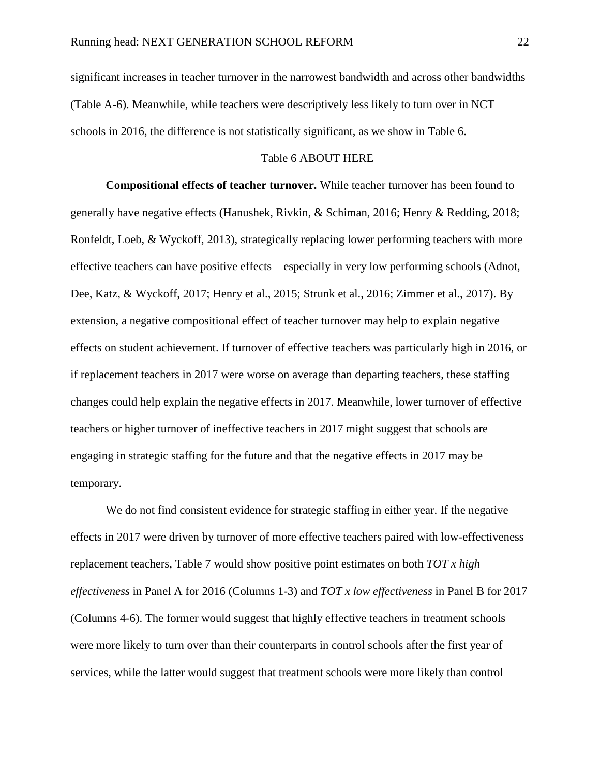significant increases in teacher turnover in the narrowest bandwidth and across other bandwidths [\(Table A-6\)](#page-55-0). Meanwhile, while teachers were descriptively less likely to turn over in NCT schools in 2016, the difference is not statistically significant, as we show in [Table 6.](#page-42-0)

### [Table 6](#page-42-0) ABOUT HERE

**Compositional effects of teacher turnover.** While teacher turnover has been found to generally have negative effects (Hanushek, Rivkin, & Schiman, 2016; Henry & Redding, 2018; Ronfeldt, Loeb, & Wyckoff, 2013), strategically replacing lower performing teachers with more effective teachers can have positive effects—especially in very low performing schools (Adnot, Dee, Katz, & Wyckoff, 2017; Henry et al., 2015; Strunk et al., 2016; Zimmer et al., 2017). By extension, a negative compositional effect of teacher turnover may help to explain negative effects on student achievement. If turnover of effective teachers was particularly high in 2016, or if replacement teachers in 2017 were worse on average than departing teachers, these staffing changes could help explain the negative effects in 2017. Meanwhile, lower turnover of effective teachers or higher turnover of ineffective teachers in 2017 might suggest that schools are engaging in strategic staffing for the future and that the negative effects in 2017 may be temporary.

We do not find consistent evidence for strategic staffing in either year. If the negative effects in 2017 were driven by turnover of more effective teachers paired with low-effectiveness replacement teachers, [Table 7](#page-43-0) would show positive point estimates on both *TOT x high effectiveness* in Panel A for 2016 (Columns 1-3) and *TOT x low effectiveness* in Panel B for 2017 (Columns 4-6). The former would suggest that highly effective teachers in treatment schools were more likely to turn over than their counterparts in control schools after the first year of services, while the latter would suggest that treatment schools were more likely than control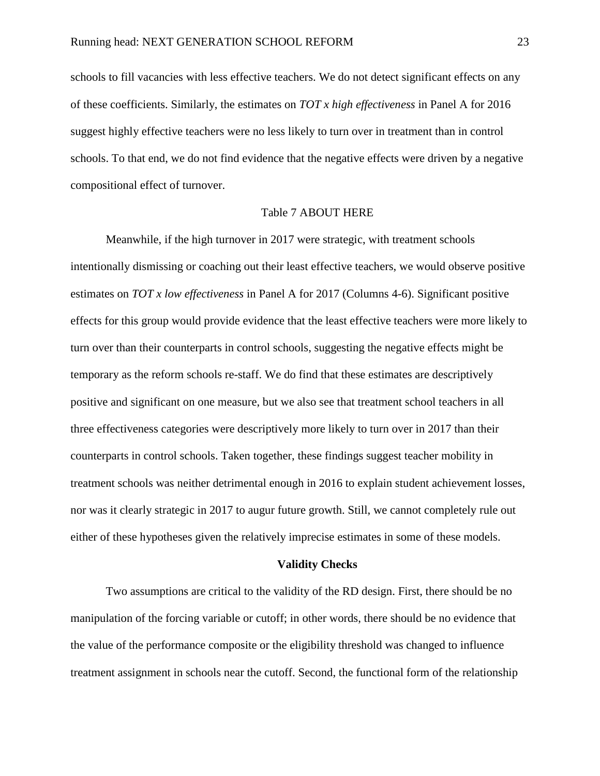schools to fill vacancies with less effective teachers. We do not detect significant effects on any of these coefficients. Similarly, the estimates on *TOT x high effectiveness* in Panel A for 2016 suggest highly effective teachers were no less likely to turn over in treatment than in control schools. To that end, we do not find evidence that the negative effects were driven by a negative compositional effect of turnover.

### [Table 7](#page-43-0) ABOUT HERE

Meanwhile, if the high turnover in 2017 were strategic, with treatment schools intentionally dismissing or coaching out their least effective teachers, we would observe positive estimates on *TOT x low effectiveness* in Panel A for 2017 (Columns 4-6). Significant positive effects for this group would provide evidence that the least effective teachers were more likely to turn over than their counterparts in control schools, suggesting the negative effects might be temporary as the reform schools re-staff. We do find that these estimates are descriptively positive and significant on one measure, but we also see that treatment school teachers in all three effectiveness categories were descriptively more likely to turn over in 2017 than their counterparts in control schools. Taken together, these findings suggest teacher mobility in treatment schools was neither detrimental enough in 2016 to explain student achievement losses, nor was it clearly strategic in 2017 to augur future growth. Still, we cannot completely rule out either of these hypotheses given the relatively imprecise estimates in some of these models.

#### **Validity Checks**

Two assumptions are critical to the validity of the RD design. First, there should be no manipulation of the forcing variable or cutoff; in other words, there should be no evidence that the value of the performance composite or the eligibility threshold was changed to influence treatment assignment in schools near the cutoff. Second, the functional form of the relationship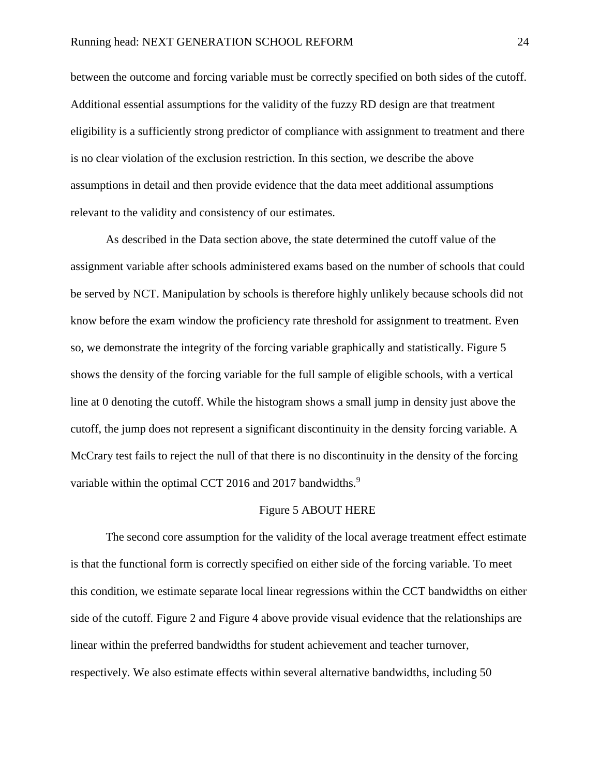between the outcome and forcing variable must be correctly specified on both sides of the cutoff. Additional essential assumptions for the validity of the fuzzy RD design are that treatment eligibility is a sufficiently strong predictor of compliance with assignment to treatment and there is no clear violation of the exclusion restriction. In this section, we describe the above assumptions in detail and then provide evidence that the data meet additional assumptions relevant to the validity and consistency of our estimates.

As described in the [Data](#page-11-0) section above, the state determined the cutoff value of the assignment variable after schools administered exams based on the number of schools that could be served by NCT. Manipulation by schools is therefore highly unlikely because schools did not know before the exam window the proficiency rate threshold for assignment to treatment. Even so, we demonstrate the integrity of the forcing variable graphically and statistically. [Figure 5](#page-48-0) shows the density of the forcing variable for the full sample of eligible schools, with a vertical line at 0 denoting the cutoff. While the histogram shows a small jump in density just above the cutoff, the jump does not represent a significant discontinuity in the density forcing variable. A McCrary test fails to reject the null of that there is no discontinuity in the density of the forcing variable within the optimal CCT 2016 and 2017 bandwidths.<sup>9</sup>

#### [Figure 5](#page-48-0) ABOUT HERE

The second core assumption for the validity of the local average treatment effect estimate is that the functional form is correctly specified on either side of the forcing variable. To meet this condition, we estimate separate local linear regressions within the CCT bandwidths on either side of the cutoff. [Figure 2](#page-46-1) and [Figure 4](#page-47-1) above provide visual evidence that the relationships are linear within the preferred bandwidths for student achievement and teacher turnover, respectively. We also estimate effects within several alternative bandwidths, including 50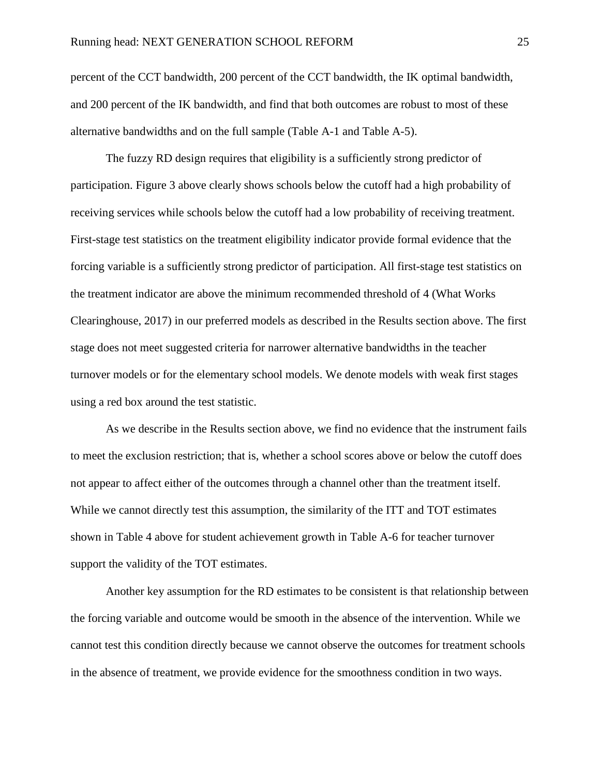percent of the CCT bandwidth, 200 percent of the CCT bandwidth, the IK optimal bandwidth, and 200 percent of the IK bandwidth, and find that both outcomes are robust to most of these alternative bandwidths and on the full sample [\(Table A-1](#page-49-0) and [Table A-5\)](#page-54-0).

The fuzzy RD design requires that eligibility is a sufficiently strong predictor of participation. [Figure 3](#page-47-0) above clearly shows schools below the cutoff had a high probability of receiving services while schools below the cutoff had a low probability of receiving treatment. First-stage test statistics on the treatment eligibility indicator provide formal evidence that the forcing variable is a sufficiently strong predictor of participation. All first-stage test statistics on the treatment indicator are above the minimum recommended threshold of 4 (What Works Clearinghouse, 2017) in our preferred models as described in the [Results](#page-19-0) section above. The first stage does not meet suggested criteria for narrower alternative bandwidths in the teacher turnover models or for the elementary school models. We denote models with weak first stages using a red box around the test statistic.

As we describe in the [Results](#page-19-0) section above, we find no evidence that the instrument fails to meet the exclusion restriction; that is, whether a school scores above or below the cutoff does not appear to affect either of the outcomes through a channel other than the treatment itself. While we cannot directly test this assumption, the similarity of the ITT and TOT estimates shown in [Table 4](#page-40-0) above for student achievement growth in [Table A-6](#page-55-0) for teacher turnover support the validity of the TOT estimates.

Another key assumption for the RD estimates to be consistent is that relationship between the forcing variable and outcome would be smooth in the absence of the intervention. While we cannot test this condition directly because we cannot observe the outcomes for treatment schools in the absence of treatment, we provide evidence for the smoothness condition in two ways.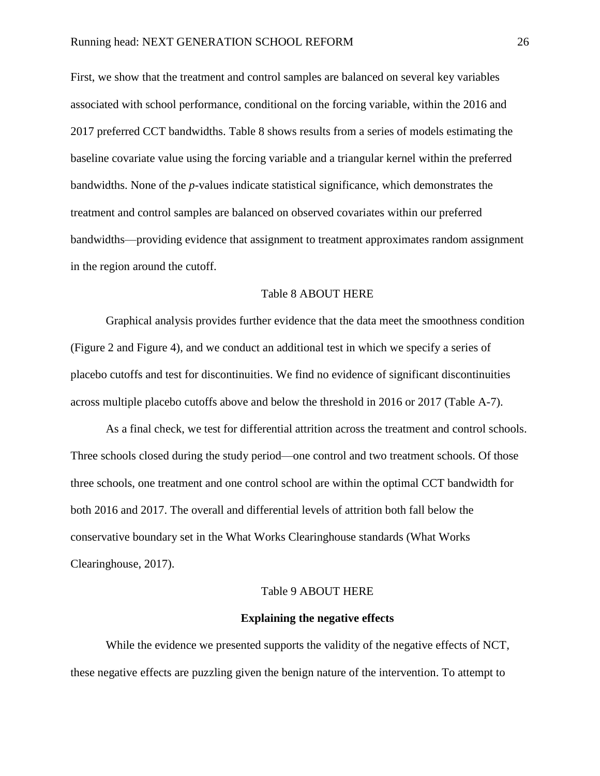First, we show that the treatment and control samples are balanced on several key variables associated with school performance, conditional on the forcing variable, within the 2016 and 2017 preferred CCT bandwidths. [Table 8](#page-45-0) shows results from a series of models estimating the baseline covariate value using the forcing variable and a triangular kernel within the preferred bandwidths. None of the *p*-values indicate statistical significance, which demonstrates the treatment and control samples are balanced on observed covariates within our preferred bandwidths—providing evidence that assignment to treatment approximates random assignment in the region around the cutoff.

#### [Table 8](#page-45-0) ABOUT HERE

Graphical analysis provides further evidence that the data meet the smoothness condition [\(Figure 2](#page-46-1) and [Figure 4\)](#page-47-1), and we conduct an additional test in which we specify a series of placebo cutoffs and test for discontinuities. We find no evidence of significant discontinuities across multiple placebo cutoffs above and below the threshold in 2016 or 2017 [\(Table A-7\)](#page-56-0).

As a final check, we test for differential attrition across the treatment and control schools. Three schools closed during the study period—one control and two treatment schools. Of those three schools, one treatment and one control school are within the optimal CCT bandwidth for both 2016 and 2017. The overall and differential levels of attrition both fall below the conservative boundary set in the What Works Clearinghouse standards (What Works Clearinghouse, 2017).

### [Table 9](#page-45-1) ABOUT HERE

#### **Explaining the negative effects**

While the evidence we presented supports the validity of the negative effects of NCT, these negative effects are puzzling given the benign nature of the intervention. To attempt to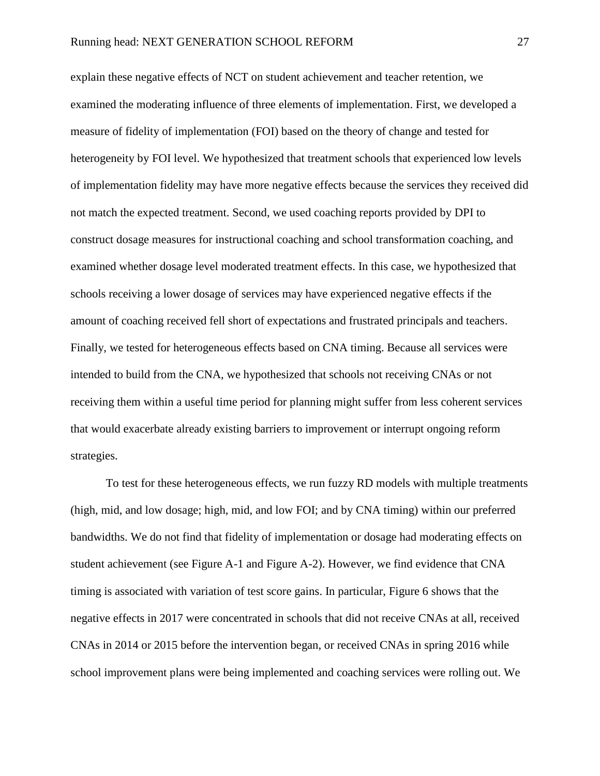explain these negative effects of NCT on student achievement and teacher retention, we examined the moderating influence of three elements of implementation. First, we developed a measure of fidelity of implementation (FOI) based on the theory of change and tested for heterogeneity by FOI level. We hypothesized that treatment schools that experienced low levels of implementation fidelity may have more negative effects because the services they received did not match the expected treatment. Second, we used coaching reports provided by DPI to construct dosage measures for instructional coaching and school transformation coaching, and examined whether dosage level moderated treatment effects. In this case, we hypothesized that schools receiving a lower dosage of services may have experienced negative effects if the amount of coaching received fell short of expectations and frustrated principals and teachers. Finally, we tested for heterogeneous effects based on CNA timing. Because all services were intended to build from the CNA, we hypothesized that schools not receiving CNAs or not receiving them within a useful time period for planning might suffer from less coherent services that would exacerbate already existing barriers to improvement or interrupt ongoing reform strategies.

To test for these heterogeneous effects, we run fuzzy RD models with multiple treatments (high, mid, and low dosage; high, mid, and low FOI; and by CNA timing) within our preferred bandwidths. We do not find that fidelity of implementation or dosage had moderating effects on student achievement (see [Figure A-1](#page-58-0) and [Figure A-2\)](#page-59-0). However, we find evidence that CNA timing is associated with variation of test score gains. In particular, [Figure 6](#page-48-1) shows that the negative effects in 2017 were concentrated in schools that did not receive CNAs at all, received CNAs in 2014 or 2015 before the intervention began, or received CNAs in spring 2016 while school improvement plans were being implemented and coaching services were rolling out. We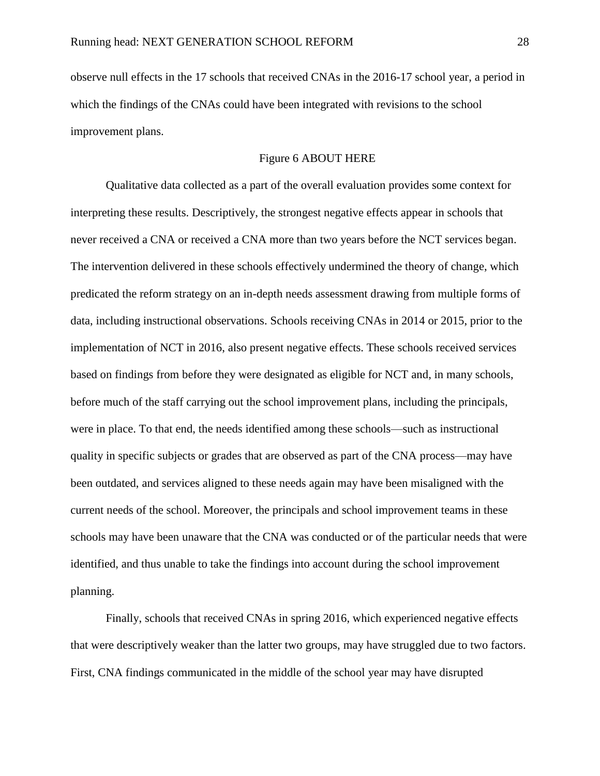observe null effects in the 17 schools that received CNAs in the 2016-17 school year, a period in which the findings of the CNAs could have been integrated with revisions to the school improvement plans.

### [Figure 6](#page-48-1) ABOUT HERE

Qualitative data collected as a part of the overall evaluation provides some context for interpreting these results. Descriptively, the strongest negative effects appear in schools that never received a CNA or received a CNA more than two years before the NCT services began. The intervention delivered in these schools effectively undermined the theory of change, which predicated the reform strategy on an in-depth needs assessment drawing from multiple forms of data, including instructional observations. Schools receiving CNAs in 2014 or 2015, prior to the implementation of NCT in 2016, also present negative effects. These schools received services based on findings from before they were designated as eligible for NCT and, in many schools, before much of the staff carrying out the school improvement plans, including the principals, were in place. To that end, the needs identified among these schools—such as instructional quality in specific subjects or grades that are observed as part of the CNA process—may have been outdated, and services aligned to these needs again may have been misaligned with the current needs of the school. Moreover, the principals and school improvement teams in these schools may have been unaware that the CNA was conducted or of the particular needs that were identified, and thus unable to take the findings into account during the school improvement planning.

Finally, schools that received CNAs in spring 2016, which experienced negative effects that were descriptively weaker than the latter two groups, may have struggled due to two factors. First, CNA findings communicated in the middle of the school year may have disrupted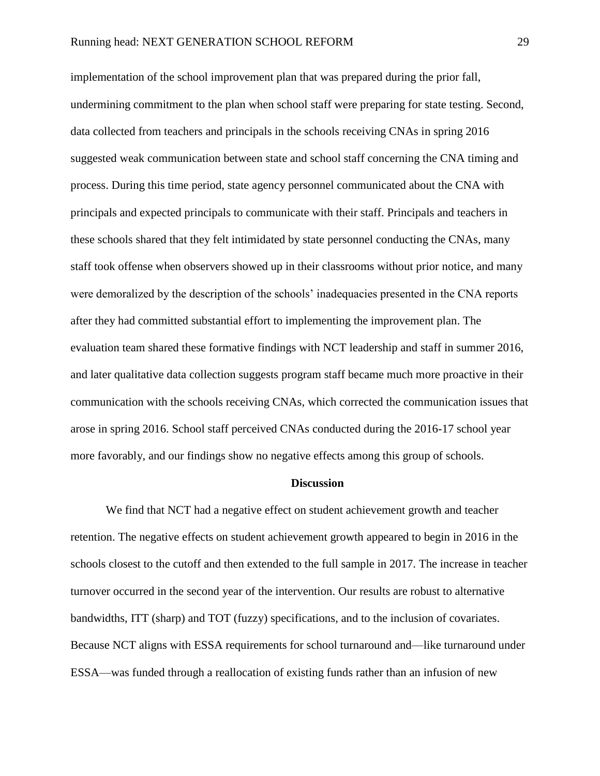implementation of the school improvement plan that was prepared during the prior fall, undermining commitment to the plan when school staff were preparing for state testing. Second, data collected from teachers and principals in the schools receiving CNAs in spring 2016 suggested weak communication between state and school staff concerning the CNA timing and process. During this time period, state agency personnel communicated about the CNA with principals and expected principals to communicate with their staff. Principals and teachers in these schools shared that they felt intimidated by state personnel conducting the CNAs, many staff took offense when observers showed up in their classrooms without prior notice, and many were demoralized by the description of the schools' inadequacies presented in the CNA reports after they had committed substantial effort to implementing the improvement plan. The evaluation team shared these formative findings with NCT leadership and staff in summer 2016, and later qualitative data collection suggests program staff became much more proactive in their communication with the schools receiving CNAs, which corrected the communication issues that arose in spring 2016. School staff perceived CNAs conducted during the 2016-17 school year more favorably, and our findings show no negative effects among this group of schools.

#### **Discussion**

We find that NCT had a negative effect on student achievement growth and teacher retention. The negative effects on student achievement growth appeared to begin in 2016 in the schools closest to the cutoff and then extended to the full sample in 2017. The increase in teacher turnover occurred in the second year of the intervention. Our results are robust to alternative bandwidths, ITT (sharp) and TOT (fuzzy) specifications, and to the inclusion of covariates. Because NCT aligns with ESSA requirements for school turnaround and—like turnaround under ESSA—was funded through a reallocation of existing funds rather than an infusion of new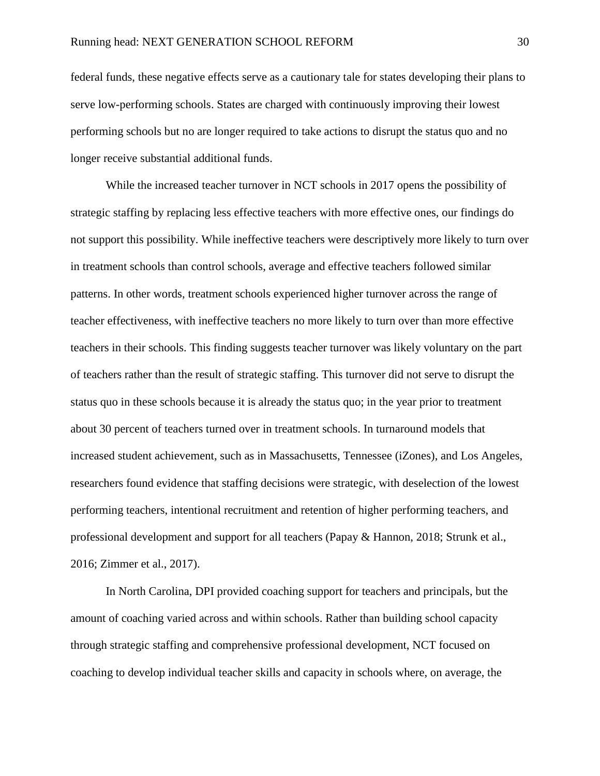federal funds, these negative effects serve as a cautionary tale for states developing their plans to serve low-performing schools. States are charged with continuously improving their lowest performing schools but no are longer required to take actions to disrupt the status quo and no longer receive substantial additional funds.

While the increased teacher turnover in NCT schools in 2017 opens the possibility of strategic staffing by replacing less effective teachers with more effective ones, our findings do not support this possibility. While ineffective teachers were descriptively more likely to turn over in treatment schools than control schools, average and effective teachers followed similar patterns. In other words, treatment schools experienced higher turnover across the range of teacher effectiveness, with ineffective teachers no more likely to turn over than more effective teachers in their schools. This finding suggests teacher turnover was likely voluntary on the part of teachers rather than the result of strategic staffing. This turnover did not serve to disrupt the status quo in these schools because it is already the status quo; in the year prior to treatment about 30 percent of teachers turned over in treatment schools. In turnaround models that increased student achievement, such as in Massachusetts, Tennessee (iZones), and Los Angeles, researchers found evidence that staffing decisions were strategic, with deselection of the lowest performing teachers, intentional recruitment and retention of higher performing teachers, and professional development and support for all teachers (Papay & Hannon, 2018; Strunk et al., 2016; Zimmer et al., 2017).

In North Carolina, DPI provided coaching support for teachers and principals, but the amount of coaching varied across and within schools. Rather than building school capacity through strategic staffing and comprehensive professional development, NCT focused on coaching to develop individual teacher skills and capacity in schools where, on average, the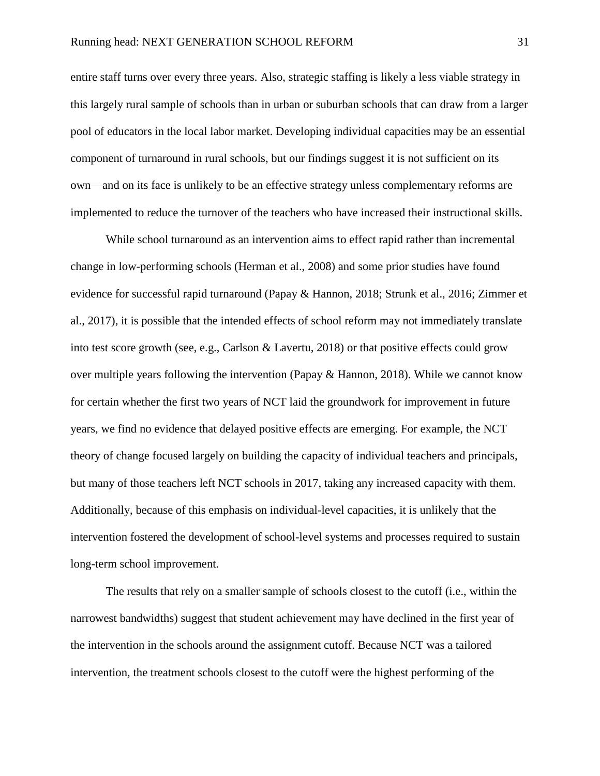entire staff turns over every three years. Also, strategic staffing is likely a less viable strategy in this largely rural sample of schools than in urban or suburban schools that can draw from a larger pool of educators in the local labor market. Developing individual capacities may be an essential component of turnaround in rural schools, but our findings suggest it is not sufficient on its own—and on its face is unlikely to be an effective strategy unless complementary reforms are implemented to reduce the turnover of the teachers who have increased their instructional skills.

While school turnaround as an intervention aims to effect rapid rather than incremental change in low-performing schools (Herman et al., 2008) and some prior studies have found evidence for successful rapid turnaround (Papay & Hannon, 2018; Strunk et al., 2016; Zimmer et al., 2017), it is possible that the intended effects of school reform may not immediately translate into test score growth (see, e.g., Carlson & Lavertu, 2018) or that positive effects could grow over multiple years following the intervention (Papay  $\&$  Hannon, 2018). While we cannot know for certain whether the first two years of NCT laid the groundwork for improvement in future years, we find no evidence that delayed positive effects are emerging. For example, the NCT theory of change focused largely on building the capacity of individual teachers and principals, but many of those teachers left NCT schools in 2017, taking any increased capacity with them. Additionally, because of this emphasis on individual-level capacities, it is unlikely that the intervention fostered the development of school-level systems and processes required to sustain long-term school improvement.

The results that rely on a smaller sample of schools closest to the cutoff (i.e., within the narrowest bandwidths) suggest that student achievement may have declined in the first year of the intervention in the schools around the assignment cutoff. Because NCT was a tailored intervention, the treatment schools closest to the cutoff were the highest performing of the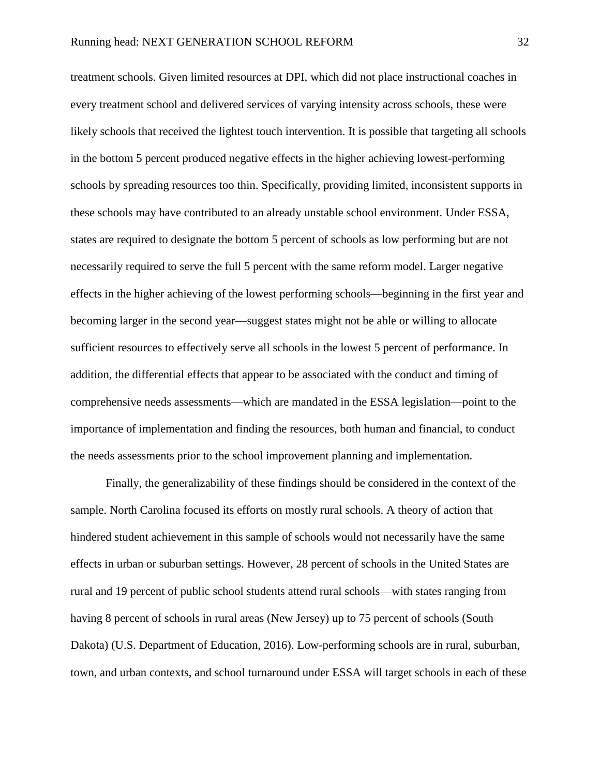treatment schools. Given limited resources at DPI, which did not place instructional coaches in every treatment school and delivered services of varying intensity across schools, these were likely schools that received the lightest touch intervention. It is possible that targeting all schools in the bottom 5 percent produced negative effects in the higher achieving lowest-performing schools by spreading resources too thin. Specifically, providing limited, inconsistent supports in these schools may have contributed to an already unstable school environment. Under ESSA, states are required to designate the bottom 5 percent of schools as low performing but are not necessarily required to serve the full 5 percent with the same reform model. Larger negative effects in the higher achieving of the lowest performing schools—beginning in the first year and becoming larger in the second year—suggest states might not be able or willing to allocate sufficient resources to effectively serve all schools in the lowest 5 percent of performance. In addition, the differential effects that appear to be associated with the conduct and timing of comprehensive needs assessments—which are mandated in the ESSA legislation—point to the importance of implementation and finding the resources, both human and financial, to conduct the needs assessments prior to the school improvement planning and implementation.

Finally, the generalizability of these findings should be considered in the context of the sample. North Carolina focused its efforts on mostly rural schools. A theory of action that hindered student achievement in this sample of schools would not necessarily have the same effects in urban or suburban settings. However, 28 percent of schools in the United States are rural and 19 percent of public school students attend rural schools—with states ranging from having 8 percent of schools in rural areas (New Jersey) up to 75 percent of schools (South Dakota) (U.S. Department of Education, 2016). Low-performing schools are in rural, suburban, town, and urban contexts, and school turnaround under ESSA will target schools in each of these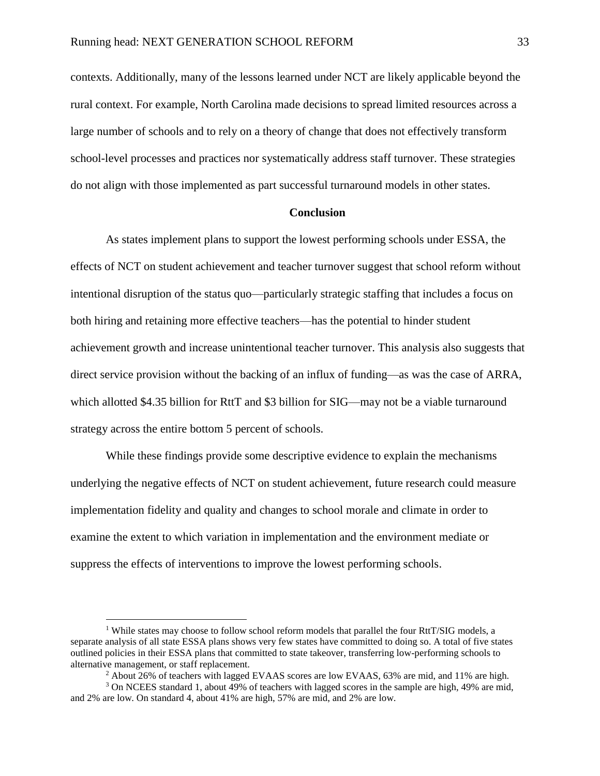contexts. Additionally, many of the lessons learned under NCT are likely applicable beyond the rural context. For example, North Carolina made decisions to spread limited resources across a large number of schools and to rely on a theory of change that does not effectively transform school-level processes and practices nor systematically address staff turnover. These strategies do not align with those implemented as part successful turnaround models in other states.

#### **Conclusion**

As states implement plans to support the lowest performing schools under ESSA, the effects of NCT on student achievement and teacher turnover suggest that school reform without intentional disruption of the status quo—particularly strategic staffing that includes a focus on both hiring and retaining more effective teachers—has the potential to hinder student achievement growth and increase unintentional teacher turnover. This analysis also suggests that direct service provision without the backing of an influx of funding—as was the case of ARRA, which allotted \$4.35 billion for RttT and \$3 billion for SIG—may not be a viable turnaround strategy across the entire bottom 5 percent of schools.

While these findings provide some descriptive evidence to explain the mechanisms underlying the negative effects of NCT on student achievement, future research could measure implementation fidelity and quality and changes to school morale and climate in order to examine the extent to which variation in implementation and the environment mediate or suppress the effects of interventions to improve the lowest performing schools.

 $\overline{a}$ 

<sup>&</sup>lt;sup>1</sup> While states may choose to follow school reform models that parallel the four RttT/SIG models, a separate analysis of all state ESSA plans shows very few states have committed to doing so. A total of five states outlined policies in their ESSA plans that committed to state takeover, transferring low-performing schools to alternative management, or staff replacement.

 $2$  About 26% of teachers with lagged EVAAS scores are low EVAAS, 63% are mid, and 11% are high.

<sup>3</sup> On NCEES standard 1, about 49% of teachers with lagged scores in the sample are high, 49% are mid, and 2% are low. On standard 4, about 41% are high, 57% are mid, and 2% are low.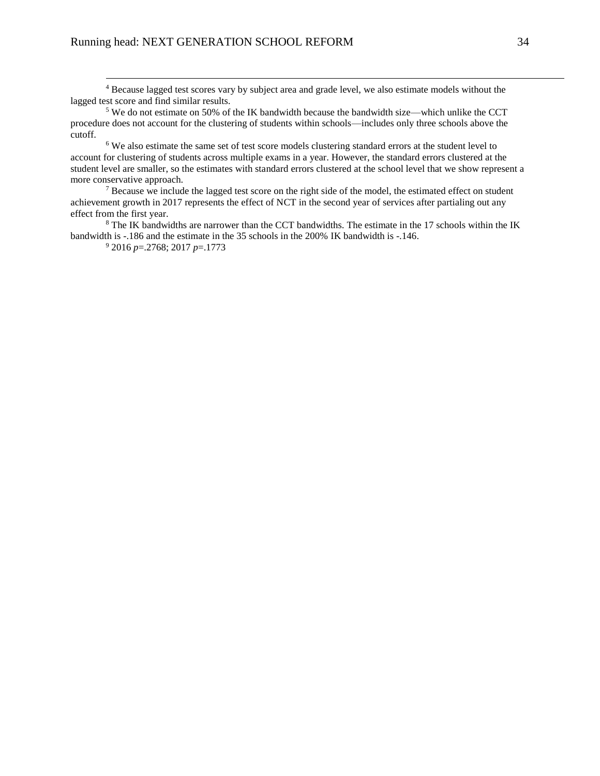<sup>4</sup> Because lagged test scores vary by subject area and grade level, we also estimate models without the lagged test score and find similar results.

<sup>5</sup> We do not estimate on 50% of the IK bandwidth because the bandwidth size—which unlike the CCT procedure does not account for the clustering of students within schools—includes only three schools above the cutoff.

<sup>6</sup> We also estimate the same set of test score models clustering standard errors at the student level to account for clustering of students across multiple exams in a year. However, the standard errors clustered at the student level are smaller, so the estimates with standard errors clustered at the school level that we show represent a more conservative approach.

 $<sup>7</sup>$  Because we include the lagged test score on the right side of the model, the estimated effect on student</sup> achievement growth in 2017 represents the effect of NCT in the second year of services after partialing out any effect from the first year.

<sup>8</sup> The IK bandwidths are narrower than the CCT bandwidths. The estimate in the 17 schools within the IK bandwidth is -.186 and the estimate in the 35 schools in the 200% IK bandwidth is -.146.

<sup>9</sup> 2016 *p*=.2768; 2017 *p*=.1773

 $\overline{a}$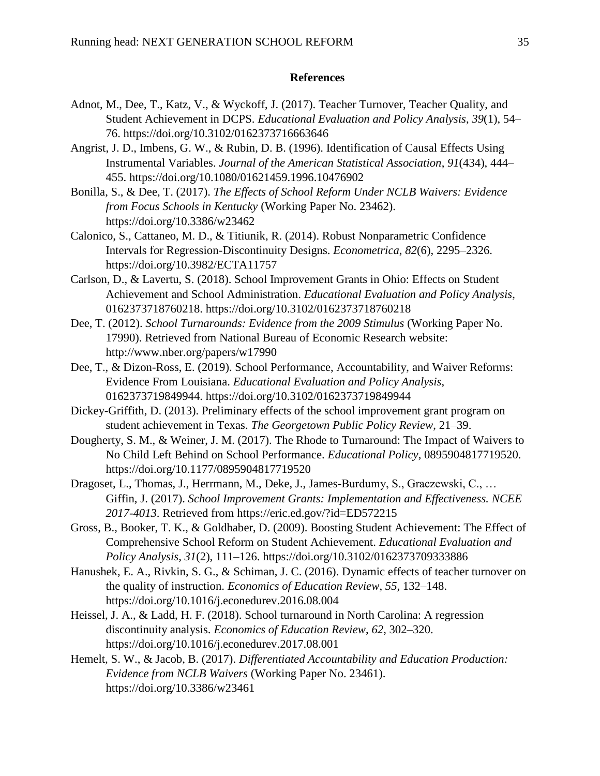### **References**

- Adnot, M., Dee, T., Katz, V., & Wyckoff, J. (2017). Teacher Turnover, Teacher Quality, and Student Achievement in DCPS. *Educational Evaluation and Policy Analysis*, *39*(1), 54– 76. https://doi.org/10.3102/0162373716663646
- Angrist, J. D., Imbens, G. W., & Rubin, D. B. (1996). Identification of Causal Effects Using Instrumental Variables. *Journal of the American Statistical Association*, *91*(434), 444– 455. https://doi.org/10.1080/01621459.1996.10476902
- Bonilla, S., & Dee, T. (2017). *The Effects of School Reform Under NCLB Waivers: Evidence from Focus Schools in Kentucky* (Working Paper No. 23462). https://doi.org/10.3386/w23462
- Calonico, S., Cattaneo, M. D., & Titiunik, R. (2014). Robust Nonparametric Confidence Intervals for Regression-Discontinuity Designs. *Econometrica*, *82*(6), 2295–2326. https://doi.org/10.3982/ECTA11757
- Carlson, D., & Lavertu, S. (2018). School Improvement Grants in Ohio: Effects on Student Achievement and School Administration. *Educational Evaluation and Policy Analysis*, 0162373718760218. https://doi.org/10.3102/0162373718760218
- Dee, T. (2012). *School Turnarounds: Evidence from the 2009 Stimulus* (Working Paper No. 17990). Retrieved from National Bureau of Economic Research website: http://www.nber.org/papers/w17990
- Dee, T., & Dizon-Ross, E. (2019). School Performance, Accountability, and Waiver Reforms: Evidence From Louisiana. *Educational Evaluation and Policy Analysis*, 0162373719849944. https://doi.org/10.3102/0162373719849944
- Dickey-Griffith, D. (2013). Preliminary effects of the school improvement grant program on student achievement in Texas. *The Georgetown Public Policy Review*, 21–39.
- Dougherty, S. M., & Weiner, J. M. (2017). The Rhode to Turnaround: The Impact of Waivers to No Child Left Behind on School Performance. *Educational Policy*, 0895904817719520. https://doi.org/10.1177/0895904817719520
- Dragoset, L., Thomas, J., Herrmann, M., Deke, J., James-Burdumy, S., Graczewski, C., … Giffin, J. (2017). *School Improvement Grants: Implementation and Effectiveness. NCEE 2017-4013*. Retrieved from https://eric.ed.gov/?id=ED572215
- Gross, B., Booker, T. K., & Goldhaber, D. (2009). Boosting Student Achievement: The Effect of Comprehensive School Reform on Student Achievement. *Educational Evaluation and Policy Analysis*, *31*(2), 111–126. https://doi.org/10.3102/0162373709333886
- Hanushek, E. A., Rivkin, S. G., & Schiman, J. C. (2016). Dynamic effects of teacher turnover on the quality of instruction. *Economics of Education Review*, *55*, 132–148. https://doi.org/10.1016/j.econedurev.2016.08.004
- Heissel, J. A., & Ladd, H. F. (2018). School turnaround in North Carolina: A regression discontinuity analysis. *Economics of Education Review*, *62*, 302–320. https://doi.org/10.1016/j.econedurev.2017.08.001
- Hemelt, S. W., & Jacob, B. (2017). *Differentiated Accountability and Education Production: Evidence from NCLB Waivers* (Working Paper No. 23461). https://doi.org/10.3386/w23461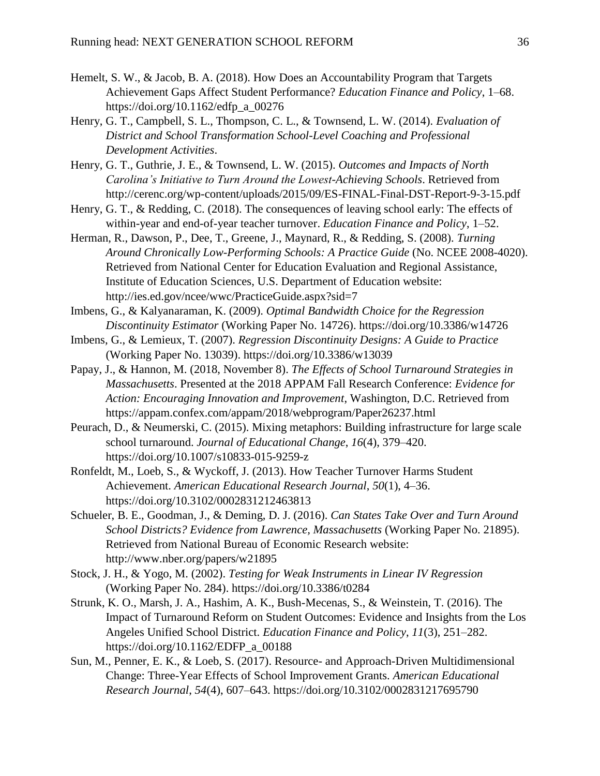- Hemelt, S. W., & Jacob, B. A. (2018). How Does an Accountability Program that Targets Achievement Gaps Affect Student Performance? *Education Finance and Policy*, 1–68. https://doi.org/10.1162/edfp\_a\_00276
- Henry, G. T., Campbell, S. L., Thompson, C. L., & Townsend, L. W. (2014). *Evaluation of District and School Transformation School-Level Coaching and Professional Development Activities*.
- Henry, G. T., Guthrie, J. E., & Townsend, L. W. (2015). *Outcomes and Impacts of North Carolina's Initiative to Turn Around the Lowest-Achieving Schools*. Retrieved from http://cerenc.org/wp-content/uploads/2015/09/ES-FINAL-Final-DST-Report-9-3-15.pdf
- Henry, G. T., & Redding, C. (2018). The consequences of leaving school early: The effects of within-year and end-of-year teacher turnover. *Education Finance and Policy*, 1–52.
- Herman, R., Dawson, P., Dee, T., Greene, J., Maynard, R., & Redding, S. (2008). *Turning Around Chronically Low-Performing Schools: A Practice Guide* (No. NCEE 2008-4020). Retrieved from National Center for Education Evaluation and Regional Assistance, Institute of Education Sciences, U.S. Department of Education website: http://ies.ed.gov/ncee/wwc/PracticeGuide.aspx?sid=7
- Imbens, G., & Kalyanaraman, K. (2009). *Optimal Bandwidth Choice for the Regression Discontinuity Estimator* (Working Paper No. 14726). https://doi.org/10.3386/w14726
- Imbens, G., & Lemieux, T. (2007). *Regression Discontinuity Designs: A Guide to Practice* (Working Paper No. 13039). https://doi.org/10.3386/w13039
- Papay, J., & Hannon, M. (2018, November 8). *The Effects of School Turnaround Strategies in Massachusetts*. Presented at the 2018 APPAM Fall Research Conference: *Evidence for Action: Encouraging Innovation and Improvement*, Washington, D.C. Retrieved from https://appam.confex.com/appam/2018/webprogram/Paper26237.html
- Peurach, D., & Neumerski, C. (2015). Mixing metaphors: Building infrastructure for large scale school turnaround. *Journal of Educational Change*, *16*(4), 379–420. https://doi.org/10.1007/s10833-015-9259-z
- Ronfeldt, M., Loeb, S., & Wyckoff, J. (2013). How Teacher Turnover Harms Student Achievement. *American Educational Research Journal*, *50*(1), 4–36. https://doi.org/10.3102/0002831212463813
- Schueler, B. E., Goodman, J., & Deming, D. J. (2016). *Can States Take Over and Turn Around School Districts? Evidence from Lawrence, Massachusetts* (Working Paper No. 21895). Retrieved from National Bureau of Economic Research website: http://www.nber.org/papers/w21895
- Stock, J. H., & Yogo, M. (2002). *Testing for Weak Instruments in Linear IV Regression* (Working Paper No. 284). https://doi.org/10.3386/t0284
- Strunk, K. O., Marsh, J. A., Hashim, A. K., Bush-Mecenas, S., & Weinstein, T. (2016). The Impact of Turnaround Reform on Student Outcomes: Evidence and Insights from the Los Angeles Unified School District. *Education Finance and Policy*, *11*(3), 251–282. https://doi.org/10.1162/EDFP\_a\_00188
- Sun, M., Penner, E. K., & Loeb, S. (2017). Resource- and Approach-Driven Multidimensional Change: Three-Year Effects of School Improvement Grants. *American Educational Research Journal*, *54*(4), 607–643. https://doi.org/10.3102/0002831217695790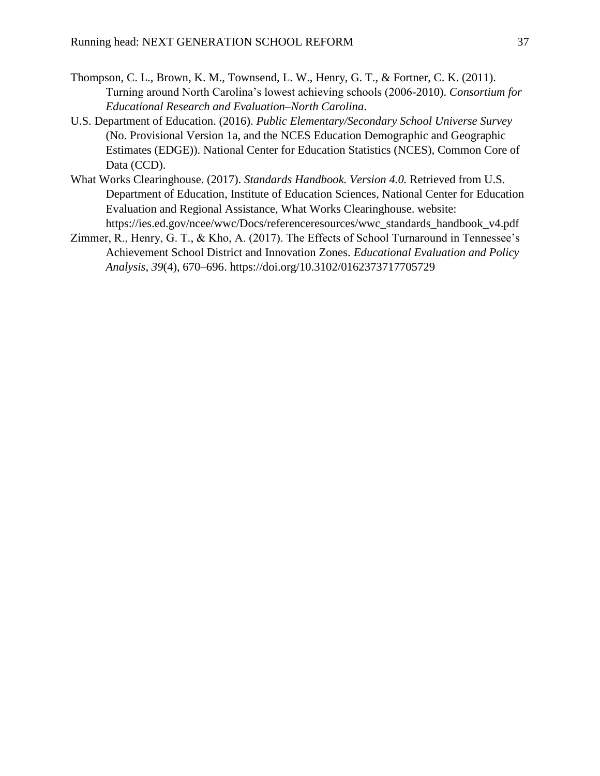- Thompson, C. L., Brown, K. M., Townsend, L. W., Henry, G. T., & Fortner, C. K. (2011). Turning around North Carolina's lowest achieving schools (2006-2010). *Consortium for Educational Research and Evaluation–North Carolina*.
- U.S. Department of Education. (2016). *Public Elementary/Secondary School Universe Survey* (No. Provisional Version 1a, and the NCES Education Demographic and Geographic Estimates (EDGE)). National Center for Education Statistics (NCES), Common Core of Data (CCD).
- What Works Clearinghouse. (2017). *Standards Handbook. Version 4.0.* Retrieved from U.S. Department of Education, Institute of Education Sciences, National Center for Education Evaluation and Regional Assistance, What Works Clearinghouse. website: https://ies.ed.gov/ncee/wwc/Docs/referenceresources/wwc\_standards\_handbook\_v4.pdf
- Zimmer, R., Henry, G. T., & Kho, A. (2017). The Effects of School Turnaround in Tennessee's Achievement School District and Innovation Zones. *Educational Evaluation and Policy Analysis*, *39*(4), 670–696. https://doi.org/10.3102/0162373717705729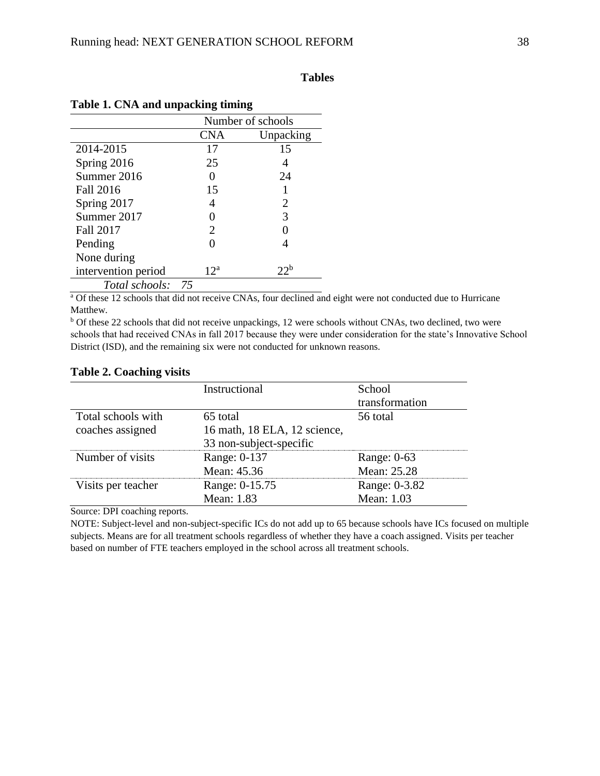### **Tables**

|                     | Number of schools     |                 |  |  |  |
|---------------------|-----------------------|-----------------|--|--|--|
|                     | CNA                   | Unpacking       |  |  |  |
| 2014-2015           | 17                    | 15              |  |  |  |
| Spring 2016         | 25                    | 4               |  |  |  |
| Summer 2016         |                       | 24              |  |  |  |
| <b>Fall 2016</b>    | 15                    |                 |  |  |  |
| Spring 2017         | 4                     | 2               |  |  |  |
| Summer 2017         |                       | 3               |  |  |  |
| <b>Fall 2017</b>    | $\mathcal{D}_{\cdot}$ |                 |  |  |  |
| Pending             |                       |                 |  |  |  |
| None during         |                       |                 |  |  |  |
| intervention period | $12^a$                | 22 <sup>b</sup> |  |  |  |
| Total schools:      | 75                    |                 |  |  |  |

### <span id="page-38-0"></span>**Table 1. CNA and unpacking timing**

<sup>a</sup> Of these 12 schools that did not receive CNAs, four declined and eight were not conducted due to Hurricane Matthew.

<sup>b</sup> Of these 22 schools that did not receive unpackings, 12 were schools without CNAs, two declined, two were schools that had received CNAs in fall 2017 because they were under consideration for the state's Innovative School District (ISD), and the remaining six were not conducted for unknown reasons.

|                    | Instructional                | School         |
|--------------------|------------------------------|----------------|
|                    |                              | transformation |
| Total schools with | 65 total                     | 56 total       |
| coaches assigned   | 16 math, 18 ELA, 12 science, |                |
|                    | 33 non-subject-specific      |                |
| Number of visits   | Range: 0-137                 | Range: 0-63    |
|                    | Mean: 45.36                  | Mean: 25.28    |
| Visits per teacher | Range: 0-15.75               | Range: 0-3.82  |
|                    | Mean: 1.83                   | Mean: 1.03     |

#### <span id="page-38-1"></span>**Table 2. Coaching visits**

Source: DPI coaching reports.

NOTE: Subject-level and non-subject-specific ICs do not add up to 65 because schools have ICs focused on multiple subjects. Means are for all treatment schools regardless of whether they have a coach assigned. Visits per teacher based on number of FTE teachers employed in the school across all treatment schools.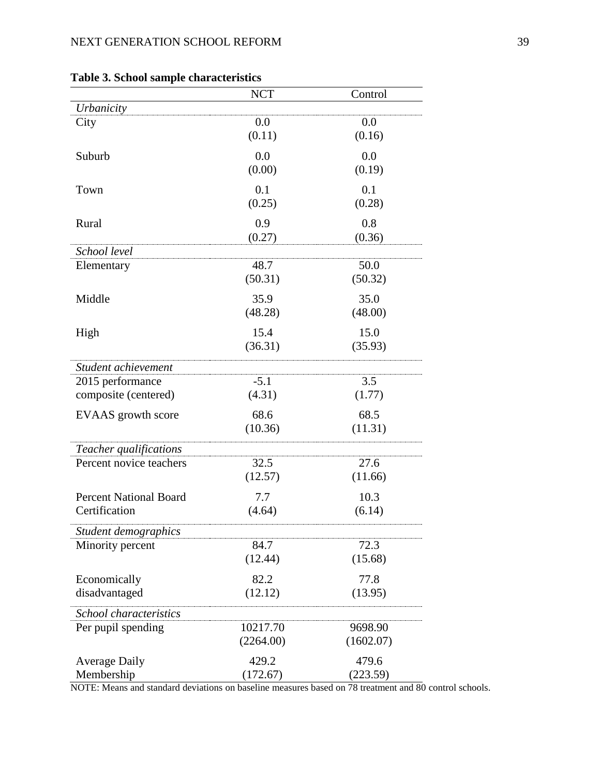|                                          | <b>NCT</b> | Control   |
|------------------------------------------|------------|-----------|
| Urbanicity                               |            |           |
| City                                     | 0.0        | 0.0       |
|                                          | (0.11)     | (0.16)    |
| Suburb                                   | 0.0        | 0.0       |
|                                          | (0.00)     | (0.19)    |
| Town                                     | 0.1        | 0.1       |
|                                          | (0.25)     | (0.28)    |
| Rural                                    | 0.9        | 0.8       |
|                                          | (0.27)     | (0.36)    |
| School level                             |            |           |
| Elementary                               | 48.7       | 50.0      |
|                                          | (50.31)    | (50.32)   |
| Middle                                   | 35.9       | 35.0      |
|                                          | (48.28)    | (48.00)   |
|                                          | 15.4       | 15.0      |
| High                                     | (36.31)    | (35.93)   |
|                                          |            |           |
| Student achievement                      |            |           |
| 2015 performance                         | $-5.1$     | 3.5       |
| composite (centered)                     | (4.31)     | (1.77)    |
| EVAAS growth score                       | 68.6       | 68.5      |
|                                          | (10.36)    | (11.31)   |
| Teacher qualifications                   |            |           |
| Percent novice teachers                  | 32.5       | 27.6      |
|                                          | (12.57)    | (11.66)   |
| <b>Percent National Board</b>            | 7.7        | 10.3      |
| Certification                            | (4.64)     | (6.14)    |
|                                          |            |           |
| Student demographics<br>Minority percent | 84.7       | 72.3      |
|                                          | (12.44)    | (15.68)   |
|                                          |            |           |
| Economically                             | 82.2       | 77.8      |
| disadvantaged                            | (12.12)    | (13.95)   |
| School characteristics                   |            |           |
| Per pupil spending                       | 10217.70   | 9698.90   |
|                                          | (2264.00)  | (1602.07) |
| <b>Average Daily</b>                     | 429.2      | 479.6     |
| Membership                               | (172.67)   | (223.59)  |

# <span id="page-39-0"></span>**Table 3. School sample characteristics**

NOTE: Means and standard deviations on baseline measures based on 78 treatment and 80 control schools.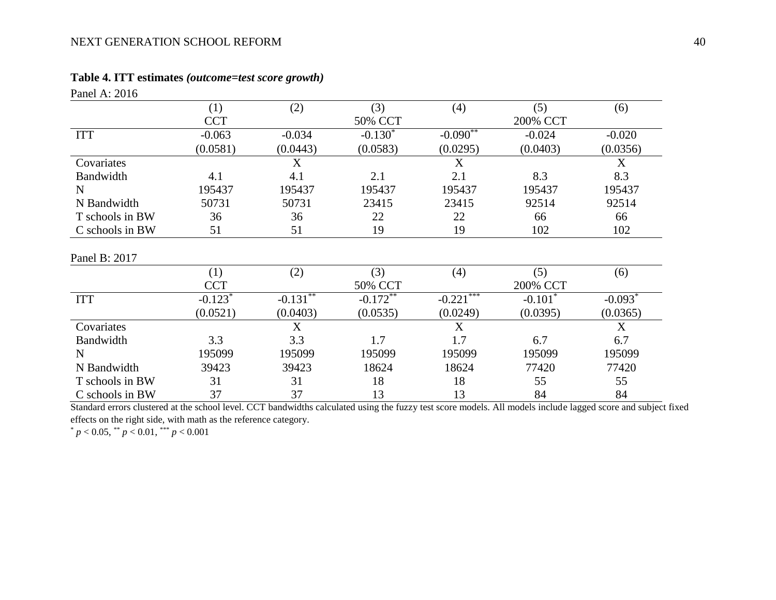### **Table 4. ITT estimates** *(outcome=test score growth)*

| Panel A: 2016   |            |                          |             |              |           |           |
|-----------------|------------|--------------------------|-------------|--------------|-----------|-----------|
|                 | (1)        | (2)                      | (3)         | (4)          | (5)       | (6)       |
|                 | <b>CCT</b> |                          | 50% CCT     |              | 200% CCT  |           |
| <b>ITT</b>      | $-0.063$   | $-0.034$                 | $-0.130*$   | $-0.090**$   | $-0.024$  | $-0.020$  |
|                 | (0.0581)   | (0.0443)                 | (0.0583)    | (0.0295)     | (0.0403)  | (0.0356)  |
| Covariates      |            | X                        |             | X            |           | X         |
| Bandwidth       | 4.1        | 4.1                      | 2.1         | 2.1          | 8.3       | 8.3       |
| N               | 195437     | 195437                   | 195437      | 195437       | 195437    | 195437    |
| N Bandwidth     | 50731      | 50731                    | 23415       | 23415        | 92514     | 92514     |
| T schools in BW | 36         | 36                       | 22          | 22           | 66        | 66        |
| C schools in BW | 51         | 51                       | 19          | 19           | 102       | 102       |
| Panel B: 2017   |            |                          |             |              |           |           |
|                 | (1)        | (2)                      | (3)         | (4)          | (5)       | (6)       |
|                 | <b>CCT</b> |                          | 50% CCT     |              | 200% CCT  |           |
| <b>ITT</b>      | $-0.123*$  | $-0.13\overline{1^{**}}$ | $-0.172***$ | $-0.221$ *** | $-0.101*$ | $-0.093*$ |
|                 | (0.0521)   | (0.0403)                 | (0.0535)    | (0.0249)     | (0.0395)  | (0.0365)  |
| Covariates      |            | X                        |             | X            |           | X         |
| Bandwidth       | 3.3        | 3.3                      | 1.7         | 1.7          | 6.7       | 6.7       |
| N               | 195099     | 195099                   | 195099      | 195099       | 195099    | 195099    |
| N Bandwidth     | 39423      | 39423                    | 18624       | 18624        | 77420     | 77420     |
| T schools in BW | 31         | 31                       | 18          | 18           | 55        | 55        |
| C schools in BW | 37         | 37                       | 13          | 13           | 84        | 84        |

<span id="page-40-0"></span>Standard errors clustered at the school level. CCT bandwidths calculated using the fuzzy test score models. All models include lagged score and subject fixed effects on the right side, with math as the reference category.

\* *p* < 0.05, \*\* *p* < 0.01, \*\*\* *p* < 0.001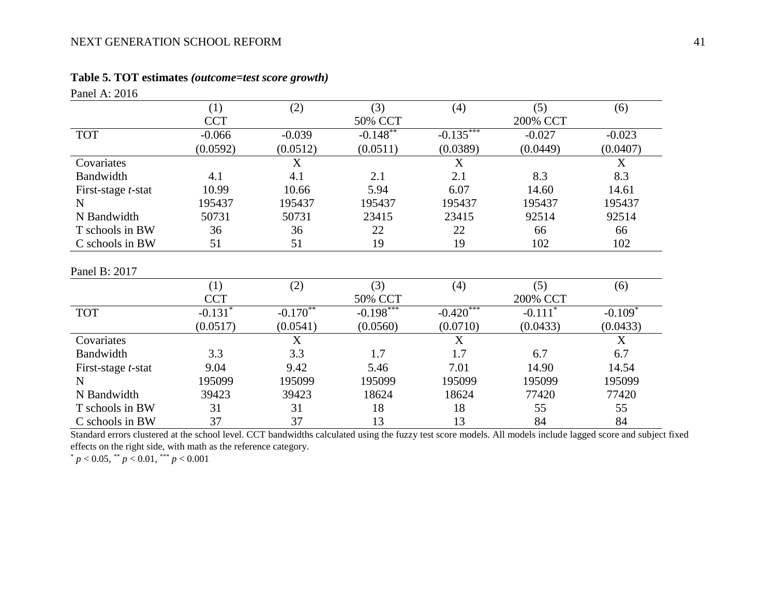# **Table 5. TOT estimates** *(outcome=test score growth)*

<span id="page-41-0"></span>

| Panel A: 2016              |                       |               |              |                  |                       |             |
|----------------------------|-----------------------|---------------|--------------|------------------|-----------------------|-------------|
|                            | (1)                   | (2)           | (3)          | (4)              | (5)                   | (6)         |
|                            | <b>CCT</b>            |               | 50% CCT      |                  | 200% CCT              |             |
| <b>TOT</b>                 | $-0.066$              | $-0.039$      | $-0.148$ **  | $-0.135***$      | $-0.027$              | $-0.023$    |
|                            | (0.0592)              | (0.0512)      | (0.0511)     | (0.0389)         | (0.0449)              | (0.0407)    |
| Covariates                 |                       | X             |              | $\boldsymbol{X}$ |                       | X           |
| Bandwidth                  | 4.1                   | 4.1           | 2.1          | 2.1              | 8.3                   | 8.3         |
| First-stage <i>t</i> -stat | 10.99                 | 10.66         | 5.94         | 6.07             | 14.60                 | 14.61       |
| N                          | 195437                | 195437        | 195437       | 195437           | 195437                | 195437      |
| N Bandwidth                | 50731                 | 50731         | 23415        | 23415            | 92514                 | 92514       |
| T schools in BW            | 36                    | 36            | 22           | 22               | 66                    | 66          |
| C schools in BW            | 51                    | 51            | 19           | 19               | 102                   | 102         |
| Panel B: 2017              |                       |               |              |                  |                       |             |
|                            | (1)                   | (2)           | (3)          | (4)              | (5)                   | (6)         |
|                            | <b>CCT</b>            |               | 50% CCT      |                  | 200% CCT              |             |
| <b>TOT</b>                 | $-0.131$ <sup>*</sup> | $-0.170^{**}$ | $-0.198$ *** | $-0.420$ ***     | $-0.111$ <sup>*</sup> | $-0.109*$   |
|                            | (0.0517)              | (0.0541)      | (0.0560)     | (0.0710)         | (0.0433)              | (0.0433)    |
| Covariates                 |                       | X             |              | X                |                       | $\mathbf X$ |
| Bandwidth                  | 3.3                   | 3.3           | 1.7          | 1.7              | 6.7                   | 6.7         |
| First-stage <i>t</i> -stat | 9.04                  | 9.42          | 5.46         | 7.01             | 14.90                 | 14.54       |
| $\mathbf N$                | 195099                | 195099        | 195099       | 195099           | 195099                | 195099      |
| N Bandwidth                | 39423                 | 39423         | 18624        | 18624            | 77420                 | 77420       |
| T schools in BW            | 31                    | 31            | 18           | 18               | 55                    | 55          |
| C schools in BW            | 37                    | 37            | 13           | 13               | 84                    | 84          |

Standard errors clustered at the school level. CCT bandwidths calculated using the fuzzy test score models. All models include lagged score and subject fixed effects on the right side, with math as the reference category.

 $p < 0.05$ , \*\*  $p < 0.01$ , \*\*\*  $p < 0.001$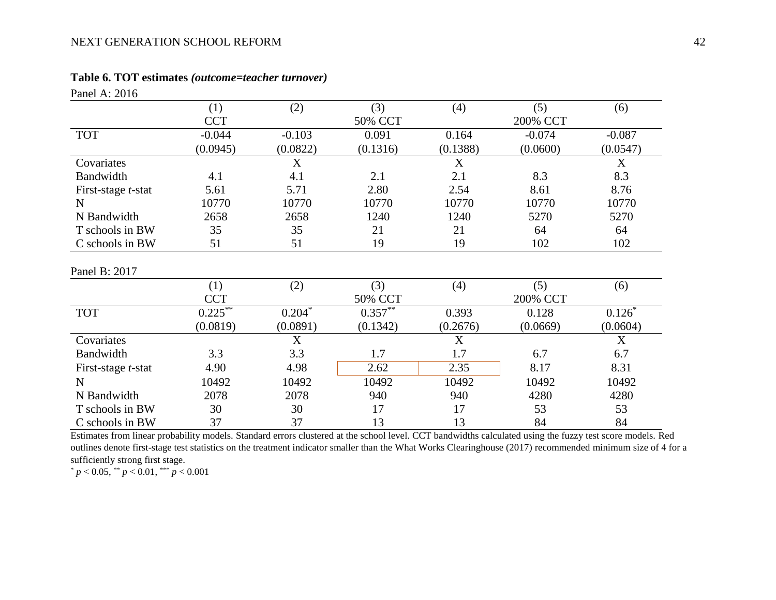### **Table 6. TOT estimates** *(outcome=teacher turnover)*

<span id="page-42-0"></span>

| Panel A: 2016              |                         |          |            |          |          |          |
|----------------------------|-------------------------|----------|------------|----------|----------|----------|
|                            | (1)                     | (2)      | (3)        | (4)      | (5)      | (6)      |
|                            | <b>CCT</b>              |          | 50% CCT    |          | 200% CCT |          |
| <b>TOT</b>                 | $-0.044$                | $-0.103$ | 0.091      | 0.164    | $-0.074$ | $-0.087$ |
|                            | (0.0945)                | (0.0822) | (0.1316)   | (0.1388) | (0.0600) | (0.0547) |
| Covariates                 |                         | X        |            | X        |          | X        |
| Bandwidth                  | 4.1                     | 4.1      | 2.1        | 2.1      | 8.3      | 8.3      |
| First-stage <i>t</i> -stat | 5.61                    | 5.71     | 2.80       | 2.54     | 8.61     | 8.76     |
| $\mathbf N$                | 10770                   | 10770    | 10770      | 10770    | 10770    | 10770    |
| N Bandwidth                | 2658                    | 2658     | 1240       | 1240     | 5270     | 5270     |
| T schools in BW            | 35                      | 35       | 21         | 21       | 64       | 64       |
| C schools in BW            | 51                      | 51       | 19         | 19       | 102      | 102      |
| Panel B: 2017              |                         |          |            |          |          |          |
|                            | (1)                     | (2)      | (3)        | (4)      | (5)      | (6)      |
|                            | <b>CCT</b>              |          | 50% CCT    |          | 200% CCT |          |
| <b>TOT</b>                 | $0.22\overline{5}^{**}$ | $0.204*$ | $0.357***$ | 0.393    | 0.128    | $0.126*$ |
|                            | (0.0819)                | (0.0891) | (0.1342)   | (0.2676) | (0.0669) | (0.0604) |
| Covariates                 |                         | X        |            | X        |          | X        |
| Bandwidth                  | 3.3                     | 3.3      | 1.7        | 1.7      | 6.7      | 6.7      |
| First-stage <i>t</i> -stat | 4.90                    | 4.98     | 2.62       | 2.35     | 8.17     | 8.31     |
| $\mathbf N$                | 10492                   | 10492    | 10492      | 10492    | 10492    | 10492    |
| N Bandwidth                | 2078                    | 2078     | 940        | 940      | 4280     | 4280     |
| T schools in BW            | 30                      | 30       | 17         | 17       | 53       | 53       |
| C schools in BW            | 37                      | 37       | 13         | 13       | 84       | 84       |

Estimates from linear probability models. Standard errors clustered at the school level. CCT bandwidths calculated using the fuzzy test score models. Red outlines denote first-stage test statistics on the treatment indicator smaller than the What Works Clearinghouse (2017) recommended minimum size of 4 for a sufficiently strong first stage.

\* *p* < 0.05, \*\* *p* < 0.01, \*\*\* *p* < 0.001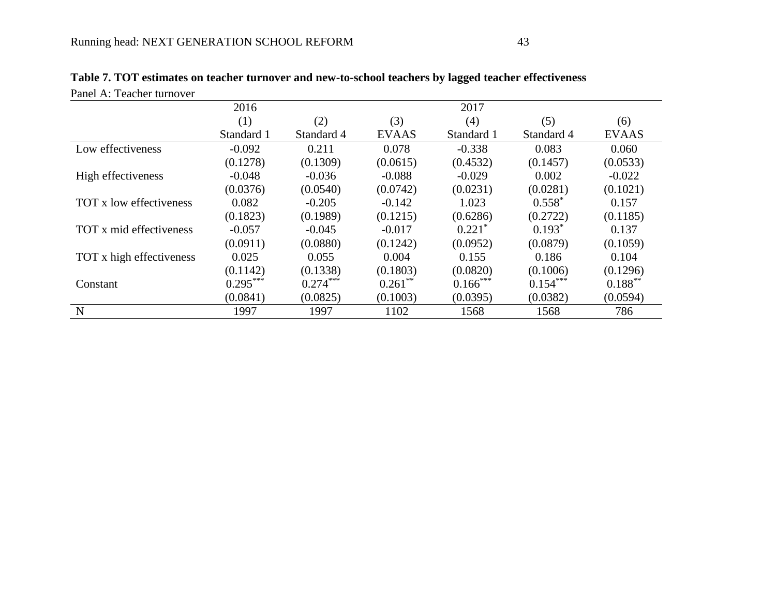<span id="page-43-0"></span>

| Panel A: Teacher turnover |            |            |              |            |            |              |
|---------------------------|------------|------------|--------------|------------|------------|--------------|
|                           | 2016       |            |              | 2017       |            |              |
|                           | (1)        | (2)        | (3)          | (4)        | (5)        | (6)          |
|                           | Standard 1 | Standard 4 | <b>EVAAS</b> | Standard 1 | Standard 4 | <b>EVAAS</b> |
| Low effectiveness         | $-0.092$   | 0.211      | 0.078        | $-0.338$   | 0.083      | 0.060        |
|                           | (0.1278)   | (0.1309)   | (0.0615)     | (0.4532)   | (0.1457)   | (0.0533)     |
| High effectiveness        | $-0.048$   | $-0.036$   | $-0.088$     | $-0.029$   | 0.002      | $-0.022$     |
|                           | (0.0376)   | (0.0540)   | (0.0742)     | (0.0231)   | (0.0281)   | (0.1021)     |
| TOT x low effectiveness   | 0.082      | $-0.205$   | $-0.142$     | 1.023      | $0.558^*$  | 0.157        |
|                           | (0.1823)   | (0.1989)   | (0.1215)     | (0.6286)   | (0.2722)   | (0.1185)     |
| TOT x mid effectiveness   | $-0.057$   | $-0.045$   | $-0.017$     | $0.221*$   | $0.193*$   | 0.137        |
|                           | (0.0911)   | (0.0880)   | (0.1242)     | (0.0952)   | (0.0879)   | (0.1059)     |
| TOT x high effectiveness  | 0.025      | 0.055      | 0.004        | 0.155      | 0.186      | 0.104        |
|                           | (0.1142)   | (0.1338)   | (0.1803)     | (0.0820)   | (0.1006)   | (0.1296)     |
| Constant                  | $0.295***$ | $0.274***$ | $0.261$ **   | $0.166***$ | $0.154***$ | $0.188***$   |
|                           | (0.0841)   | (0.0825)   | (0.1003)     | (0.0395)   | (0.0382)   | (0.0594)     |
| $\mathbf N$               | 1997       | 1997       | 1102         | 1568       | 1568       | 786          |

| Table 7. TOT estimates on teacher turnover and new-to-school teachers by lagged teacher effectiveness |
|-------------------------------------------------------------------------------------------------------|
|-------------------------------------------------------------------------------------------------------|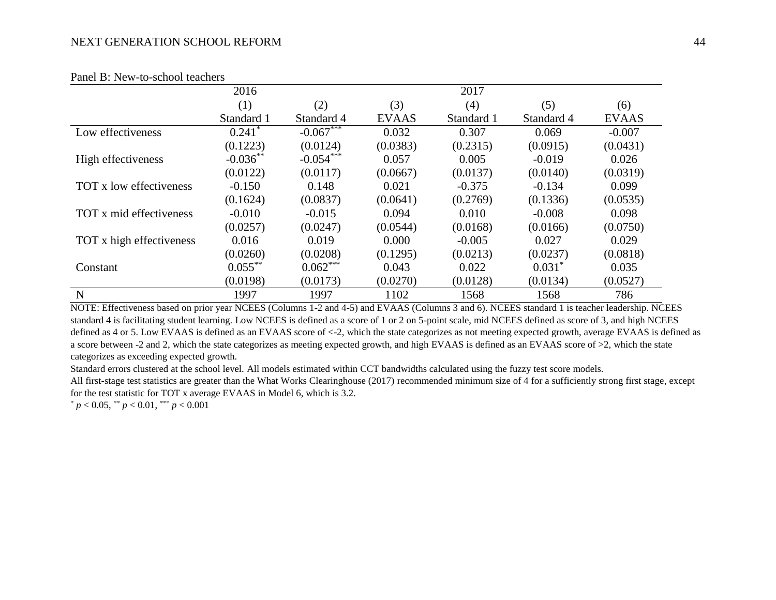| T anci D. Tww-to-school teachers |                      |             |              |            |            |              |
|----------------------------------|----------------------|-------------|--------------|------------|------------|--------------|
|                                  | 2016                 |             |              | 2017       |            |              |
|                                  | (1)                  | (2)         | (3)          | (4)        | (5)        | (6)          |
|                                  | Standard 1           | Standard 4  | <b>EVAAS</b> | Standard 1 | Standard 4 | <b>EVAAS</b> |
| Low effectiveness                | $0.241$ <sup>*</sup> | $-0.067***$ | 0.032        | 0.307      | 0.069      | $-0.007$     |
|                                  | (0.1223)             | (0.0124)    | (0.0383)     | (0.2315)   | (0.0915)   | (0.0431)     |
| High effectiveness               | $-0.036**$           | $-0.054***$ | 0.057        | 0.005      | $-0.019$   | 0.026        |
|                                  | (0.0122)             | (0.0117)    | (0.0667)     | (0.0137)   | (0.0140)   | (0.0319)     |
| TOT x low effectiveness          | $-0.150$             | 0.148       | 0.021        | $-0.375$   | $-0.134$   | 0.099        |
|                                  | (0.1624)             | (0.0837)    | (0.0641)     | (0.2769)   | (0.1336)   | (0.0535)     |
| TOT x mid effectiveness          | $-0.010$             | $-0.015$    | 0.094        | 0.010      | $-0.008$   | 0.098        |
|                                  | (0.0257)             | (0.0247)    | (0.0544)     | (0.0168)   | (0.0166)   | (0.0750)     |
| TOT x high effectiveness         | 0.016                | 0.019       | 0.000        | $-0.005$   | 0.027      | 0.029        |
|                                  | (0.0260)             | (0.0208)    | (0.1295)     | (0.0213)   | (0.0237)   | (0.0818)     |
| Constant                         | $0.055***$           | $0.062***$  | 0.043        | 0.022      | $0.031*$   | 0.035        |
|                                  | (0.0198)             | (0.0173)    | (0.0270)     | (0.0128)   | (0.0134)   | (0.0527)     |
| N                                | 1997                 | 1997        | 1102         | 1568       | 1568       | 786          |

### Panel B: New-to-school teachers

NOTE: Effectiveness based on prior year NCEES (Columns 1-2 and 4-5) and EVAAS (Columns 3 and 6). NCEES standard 1 is teacher leadership. NCEES standard 4 is facilitating student learning. Low NCEES is defined as a score of 1 or 2 on 5-point scale, mid NCEES defined as score of 3, and high NCEES defined as 4 or 5. Low EVAAS is defined as an EVAAS score of <-2, which the state categorizes as not meeting expected growth, average EVAAS is defined as a score between -2 and 2, which the state categorizes as meeting expected growth, and high EVAAS is defined as an EVAAS score of >2, which the state categorizes as exceeding expected growth.

Standard errors clustered at the school level. All models estimated within CCT bandwidths calculated using the fuzzy test score models.

All first-stage test statistics are greater than the What Works Clearinghouse (2017) recommended minimum size of 4 for a sufficiently strong first stage, except for the test statistic for TOT x average EVAAS in Model 6, which is 3.2.

 $p < 0.05$ ,  $\binom{**}{p} < 0.01$ ,  $\binom{***}{p} < 0.001$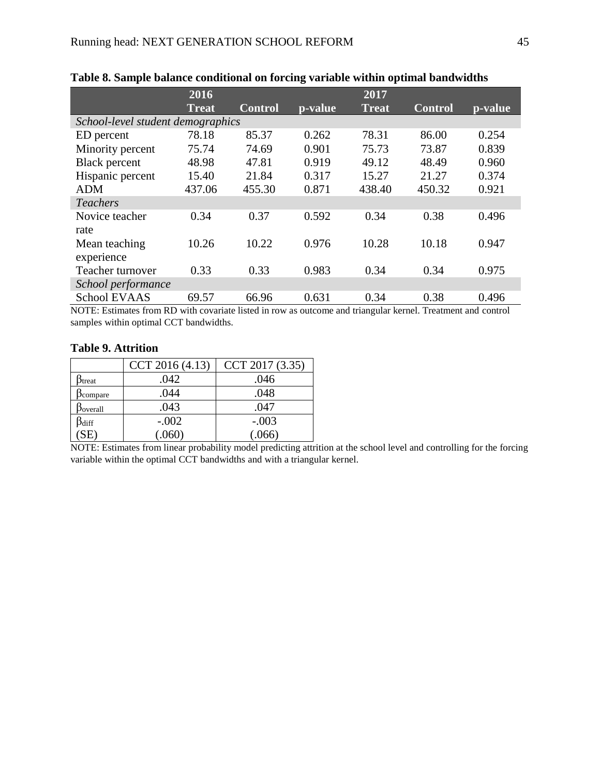|                                   | 2016         |                |         | 2017   |                |         |
|-----------------------------------|--------------|----------------|---------|--------|----------------|---------|
|                                   | <b>Treat</b> | <b>Control</b> | p-value | Treat  | <b>Control</b> | p-value |
| School-level student demographics |              |                |         |        |                |         |
| ED percent                        | 78.18        | 85.37          | 0.262   | 78.31  | 86.00          | 0.254   |
| Minority percent                  | 75.74        | 74.69          | 0.901   | 75.73  | 73.87          | 0.839   |
| <b>Black</b> percent              | 48.98        | 47.81          | 0.919   | 49.12  | 48.49          | 0.960   |
| Hispanic percent                  | 15.40        | 21.84          | 0.317   | 15.27  | 21.27          | 0.374   |
| <b>ADM</b>                        | 437.06       | 455.30         | 0.871   | 438.40 | 450.32         | 0.921   |
| <b>Teachers</b>                   |              |                |         |        |                |         |
| Novice teacher                    | 0.34         | 0.37           | 0.592   | 0.34   | 0.38           | 0.496   |
| rate                              |              |                |         |        |                |         |
| Mean teaching                     | 10.26        | 10.22          | 0.976   | 10.28  | 10.18          | 0.947   |
| experience                        |              |                |         |        |                |         |
| Teacher turnover                  | 0.33         | 0.33           | 0.983   | 0.34   | 0.34           | 0.975   |
| School performance                |              |                |         |        |                |         |
| <b>School EVAAS</b>               | 69.57        | 66.96          | 0.631   | 0.34   | 0.38           | 0.496   |

### <span id="page-45-0"></span>**Table 8. Sample balance conditional on forcing variable within optimal bandwidths**

NOTE: Estimates from RD with covariate listed in row as outcome and triangular kernel. Treatment and control samples within optimal CCT bandwidths.

### <span id="page-45-1"></span>**Table 9. Attrition**

|                                  | CCT 2016 (4.13) | CCT 2017 (3.35) |
|----------------------------------|-----------------|-----------------|
| <b>P</b> treat                   | .042            | .046            |
| $b_{\rm compare}$                | .044            | .048            |
| <b>D</b> overall                 | .043            | .047            |
| $\frac{\beta_{diff}}{\text{SE}}$ | $-.002$         | $-.003$         |
|                                  | (.060)          | (.066)          |

NOTE: Estimates from linear probability model predicting attrition at the school level and controlling for the forcing variable within the optimal CCT bandwidths and with a triangular kernel.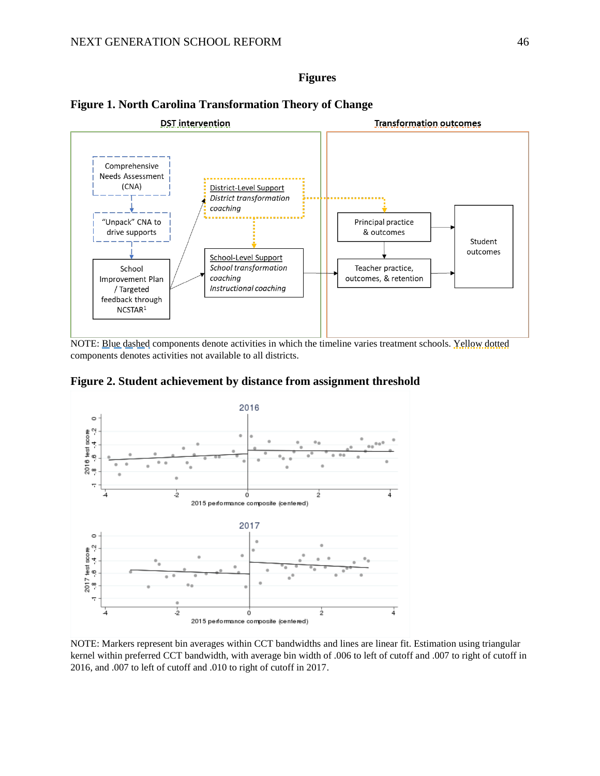### **Figures**



### <span id="page-46-0"></span>**Figure 1. North Carolina Transformation Theory of Change**

NOTE: Blue dashed components denote activities in which the timeline varies treatment schools. Yellow dotted components denotes activities not available to all districts.

<span id="page-46-1"></span>**Figure 2. Student achievement by distance from assignment threshold**



NOTE: Markers represent bin averages within CCT bandwidths and lines are linear fit. Estimation using triangular kernel within preferred CCT bandwidth, with average bin width of .006 to left of cutoff and .007 to right of cutoff in 2016, and .007 to left of cutoff and .010 to right of cutoff in 2017.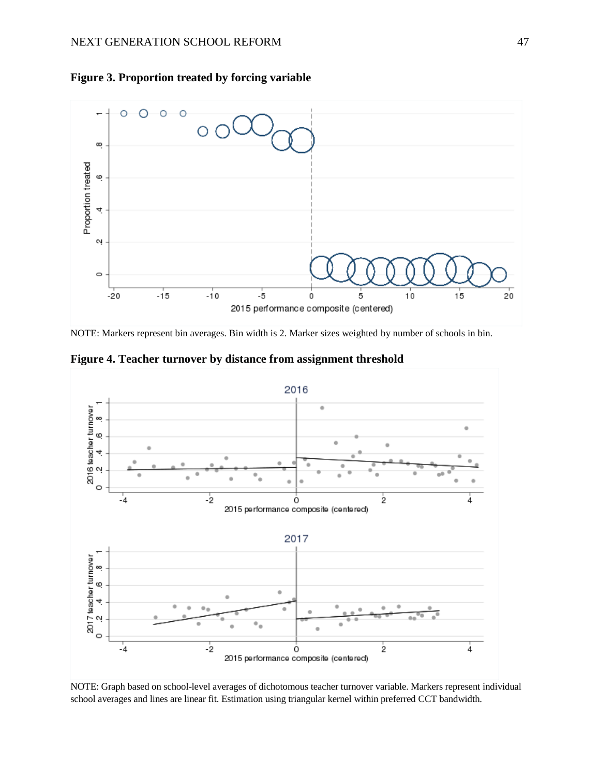

<span id="page-47-0"></span>**Figure 3. Proportion treated by forcing variable**

NOTE: Markers represent bin averages. Bin width is 2. Marker sizes weighted by number of schools in bin.

<span id="page-47-1"></span>**Figure 4. Teacher turnover by distance from assignment threshold**



NOTE: Graph based on school-level averages of dichotomous teacher turnover variable. Markers represent individual school averages and lines are linear fit. Estimation using triangular kernel within preferred CCT bandwidth.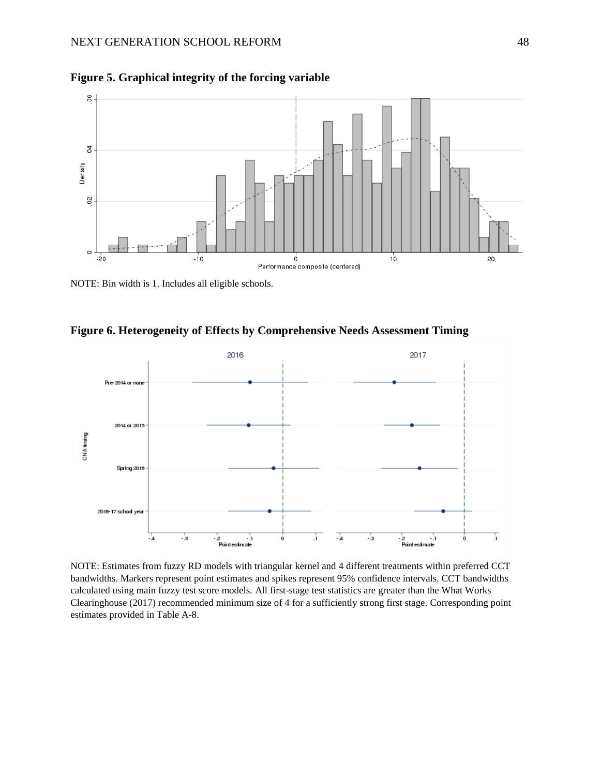

<span id="page-48-0"></span>**Figure 5. Graphical integrity of the forcing variable**

NOTE: Bin width is 1. Includes all eligible schools.



<span id="page-48-1"></span>**Figure 6. Heterogeneity of Effects by Comprehensive Needs Assessment Timing**

NOTE: Estimates from fuzzy RD models with triangular kernel and 4 different treatments within preferred CCT bandwidths. Markers represent point estimates and spikes represent 95% confidence intervals. CCT bandwidths calculated using main fuzzy test score models. All first-stage test statistics are greater than the What Works Clearinghouse (2017) recommended minimum size of 4 for a sufficiently strong first stage. Corresponding point estimates provided in [Table A-8.](#page-57-0)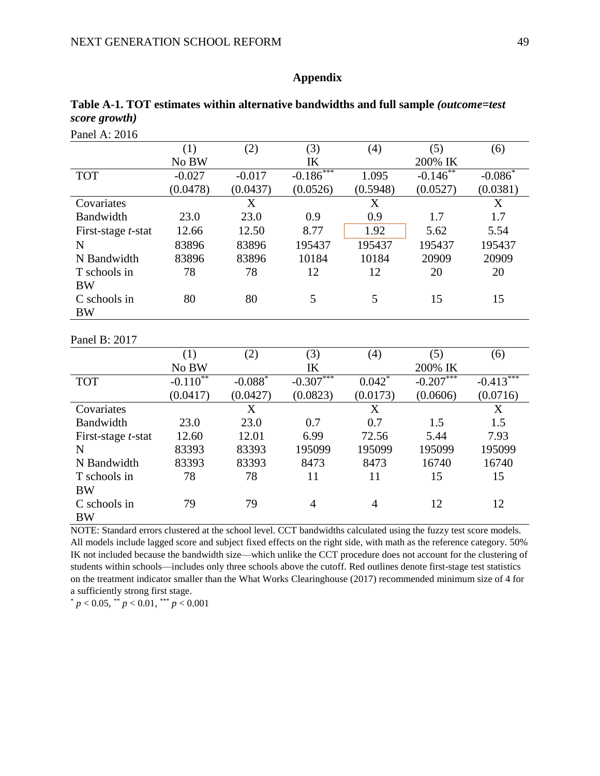#### Panel A: 2016 (1) (2) (3) (4) (5) (6) No BW IK 200% IK TOT -0.027 (0.0478) -0.017 (0.0437)  $-0.186*$ (0.0526) 1.095 (0.5948)  $-0.146*$ (0.0527)  $-0.086^*$ (0.0381) Covariates X X X Bandwidth 23.0 23.0 0.9 0.9 1.7 1.7 First-stage *t*-stat 12.66 12.50 8.77 1.92 5.62 5.54 N 83896 83896 195437 195437 195437 195437 N Bandwidth 83896 83896 10184 10184 20909 20909 T schools in BW 78 78 12 12 20 20 C schools in BW 80 80 5 5 15 15 Panel B: 2017 (1) (2) (3) (4) (5) (6) No BW IK 200% IK  $TOT$   $-0.110^{**}$ (0.0417)  $-0.088$ <sup>\*</sup> (0.0427)  $-0.307$ \*\* (0.0823)  $0.042^*$ (0.0173)  $-0.207**$ (0.0606)  $-0.413*$ (0.0716) Covariates X X X Bandwidth 23.0 23.0 0.7 0.7 1.5 1.5 First-stage *t*-stat 12.60 12.01 6.99 72.56 5.44 7.93 N 83393 83393 195099 195099 195099 195099 N Bandwidth 83393 83393 8473 8473 16740 16740 T schools in BW 78 78 11 11 15 15 C schools in BW 79 79 4 4 12 12

<span id="page-49-0"></span>

|               |  | Table A-1. TOT estimates within alternative bandwidths and full sample (outcome=test) |
|---------------|--|---------------------------------------------------------------------------------------|
| score growth) |  |                                                                                       |

**Appendix**

NOTE: Standard errors clustered at the school level. CCT bandwidths calculated using the fuzzy test score models. All models include lagged score and subject fixed effects on the right side, with math as the reference category. 50% IK not included because the bandwidth size—which unlike the CCT procedure does not account for the clustering of students within schools—includes only three schools above the cutoff. Red outlines denote first-stage test statistics on the treatment indicator smaller than the What Works Clearinghouse (2017) recommended minimum size of 4 for a sufficiently strong first stage.

 $p < 0.05$ ,  $p < 0.01$ ,  $p < 0.001$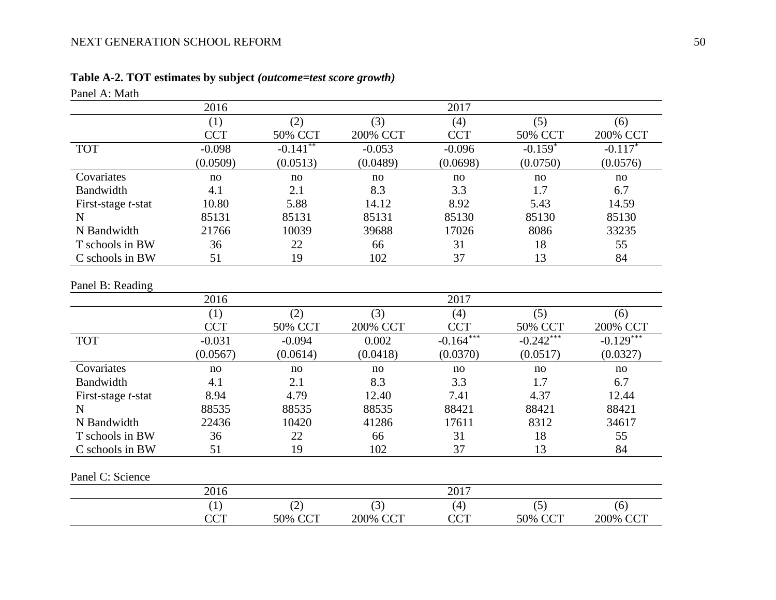# **Table A-2. TOT estimates by subject** *(outcome=test score growth)*

<span id="page-50-0"></span>

| Panel A: Math              |            |             |          |             |                |             |
|----------------------------|------------|-------------|----------|-------------|----------------|-------------|
|                            | 2016       |             |          | 2017        |                |             |
|                            | (1)        | (2)         | (3)      | (4)         | (5)            | (6)         |
|                            | <b>CCT</b> | 50% CCT     | 200% CCT | <b>CCT</b>  | 50% CCT        | 200% CCT    |
| <b>TOT</b>                 | $-0.098$   | $-0.141***$ | $-0.053$ | $-0.096$    | $-0.159*$      | $-0.117*$   |
|                            | (0.0509)   | (0.0513)    | (0.0489) | (0.0698)    | (0.0750)       | (0.0576)    |
| Covariates                 | no         | no          | no       | no          | no             | no          |
| Bandwidth                  | 4.1        | 2.1         | 8.3      | 3.3         | 1.7            | 6.7         |
| First-stage <i>t</i> -stat | 10.80      | 5.88        | 14.12    | 8.92        | 5.43           | 14.59       |
| $\mathbf N$                | 85131      | 85131       | 85131    | 85130       | 85130          | 85130       |
| N Bandwidth                | 21766      | 10039       | 39688    | 17026       | 8086           | 33235       |
| T schools in BW            | 36         | 22          | 66       | 31          | 18             | 55          |
| C schools in BW            | 51         | 19          | 102      | 37          | 13             | 84          |
| Panel B: Reading           | 2016       |             |          | 2017        |                |             |
|                            | (1)        | (2)         | (3)      | (4)         | (5)            | (6)         |
|                            | <b>CCT</b> | 50% CCT     | 200% CCT | <b>CCT</b>  | 50% CCT        | 200% CCT    |
| <b>TOT</b>                 | $-0.031$   | $-0.094$    | 0.002    | $-0.164***$ | $-0.242***$    | $-0.129***$ |
|                            | (0.0567)   | (0.0614)    | (0.0418) | (0.0370)    | (0.0517)       | (0.0327)    |
| Covariates                 | no         | no          | no       | no          | no             | no          |
| Bandwidth                  | 4.1        | 2.1         | 8.3      | 3.3         | 1.7            | 6.7         |
| First-stage <i>t</i> -stat | 8.94       | 4.79        | 12.40    | 7.41        | 4.37           | 12.44       |
| $\mathbf N$                | 88535      | 88535       | 88535    | 88421       | 88421          | 88421       |
| N Bandwidth                | 22436      | 10420       | 41286    | 17611       | 8312           | 34617       |
| T schools in BW            | 36         | 22          | 66       | 31          | 18             | 55          |
| C schools in BW            | 51         | 19          | 102      | 37          | 13             | 84          |
| Panel C: Science           |            |             |          |             |                |             |
|                            | 2016       |             |          | 2017        |                |             |
|                            | (1)        | (2)         | (3)      | (4)         | (5)            | (6)         |
|                            | <b>CCT</b> | 50% CCT     | 200% CCT | <b>CCT</b>  | <b>50% CCT</b> | 200% CCT    |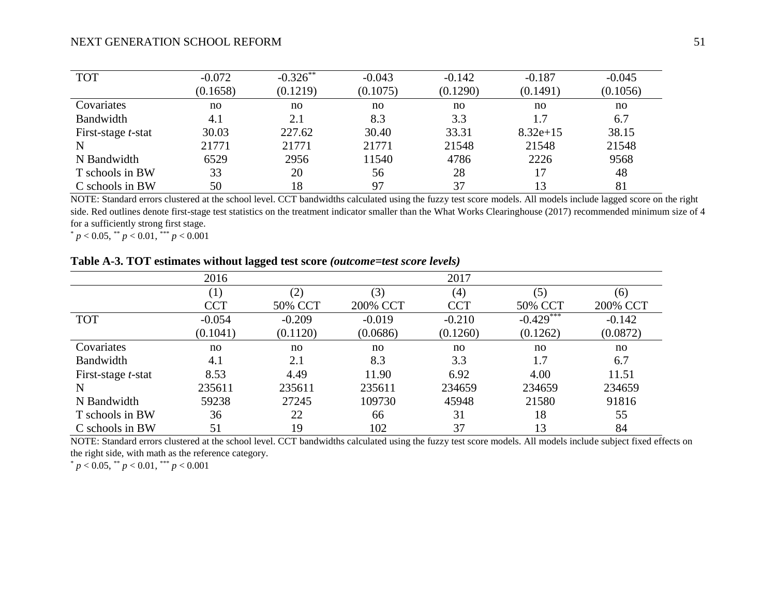| <b>TOT</b>                 | $-0.072$ | $-0.326$ ** | $-0.043$ | $-0.142$ | $-0.187$   | $-0.045$ |
|----------------------------|----------|-------------|----------|----------|------------|----------|
|                            | (0.1658) | (0.1219)    | (0.1075) | (0.1290) | (0.1491)   | (0.1056) |
| Covariates                 | no       | no          | no       | no       | no         | no       |
| <b>Bandwidth</b>           | 4.1      | 2.1         | 8.3      | 3.3      | 1.7        | 6.7      |
| First-stage <i>t</i> -stat | 30.03    | 227.62      | 30.40    | 33.31    | $8.32e+15$ | 38.15    |
| N                          | 21771    | 21771       | 21771    | 21548    | 21548      | 21548    |
| N Bandwidth                | 6529     | 2956        | 11540    | 4786     | 2226       | 9568     |
| T schools in BW            | 33       | 20          | 56       | 28       | 17         | 48       |
| C schools in BW            | 50       | 18          | 97       | 37       | 13         | 81       |

NOTE: Standard errors clustered at the school level. CCT bandwidths calculated using the fuzzy test score models. All models include lagged score on the right side. Red outlines denote first-stage test statistics on the treatment indicator smaller than the What Works Clearinghouse (2017) recommended minimum size of 4 for a sufficiently strong first stage.

 $p < 0.05$ ,  $\binom{**}{p} < 0.01$ ,  $\binom{***}{r}$   $p < 0.001$ 

### **Table A-3. TOT estimates without lagged test score** *(outcome=test score levels)*

|                            | 2016             |          |          | 2017       |             |          |
|----------------------------|------------------|----------|----------|------------|-------------|----------|
|                            | $\left(1\right)$ | (2)      | (3)      | (4)        | (5)         | (6)      |
|                            | <b>CCT</b>       | 50% CCT  | 200% CCT | <b>CCT</b> | 50% CCT     | 200% CCT |
| <b>TOT</b>                 | $-0.054$         | $-0.209$ | $-0.019$ | $-0.210$   | $-0.429***$ | $-0.142$ |
|                            | (0.1041)         | (0.1120) | (0.0686) | (0.1260)   | (0.1262)    | (0.0872) |
| Covariates                 | no               | no       | no       | no         | no          | no       |
| Bandwidth                  | 4.1              | 2.1      | 8.3      | 3.3        | 1.7         | 6.7      |
| First-stage <i>t</i> -stat | 8.53             | 4.49     | 11.90    | 6.92       | 4.00        | 11.51    |
| N                          | 235611           | 235611   | 235611   | 234659     | 234659      | 234659   |
| N Bandwidth                | 59238            | 27245    | 109730   | 45948      | 21580       | 91816    |
| T schools in BW            | 36               | 22       | 66       | 31         | 18          | 55       |
| C schools in BW            | 51               | 19       | 102      | 37         | 13          | 84       |

<span id="page-51-0"></span>NOTE: Standard errors clustered at the school level. CCT bandwidths calculated using the fuzzy test score models. All models include subject fixed effects on the right side, with math as the reference category.

 $p < 0.05$ ,  $p < 0.01$ ,  $p < 0.001$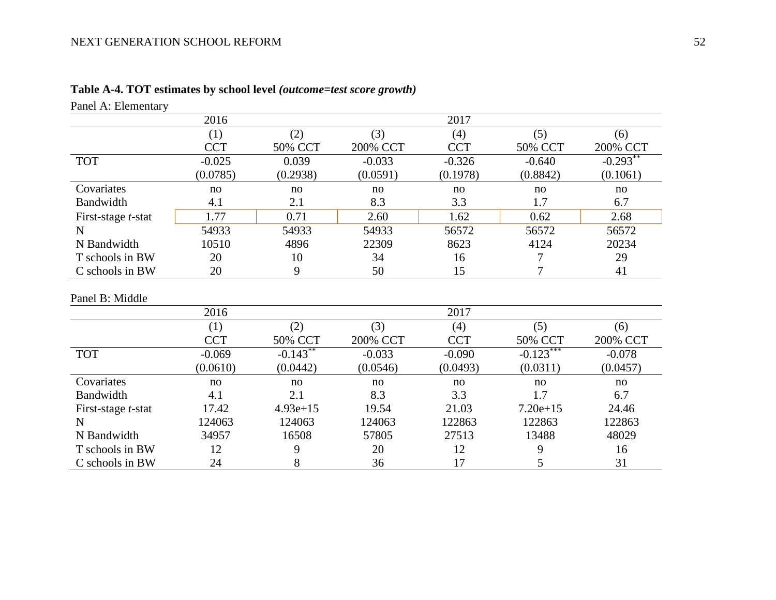<span id="page-52-0"></span>

| Panel A: Elementary        |            |                          |          |            |             |            |
|----------------------------|------------|--------------------------|----------|------------|-------------|------------|
|                            | 2016       |                          |          | 2017       |             |            |
|                            | (1)        | (2)                      | (3)      | (4)        | (5)         | (6)        |
|                            | <b>CCT</b> | 50% CCT                  | 200% CCT | <b>CCT</b> | 50% CCT     | 200% CCT   |
| <b>TOT</b>                 | $-0.025$   | 0.039                    | $-0.033$ | $-0.326$   | $-0.640$    | $-0.293**$ |
|                            | (0.0785)   | (0.2938)                 | (0.0591) | (0.1978)   | (0.8842)    | (0.1061)   |
| Covariates                 | no         | no                       | no       | no         | no          | no         |
| Bandwidth                  | 4.1        | 2.1                      | 8.3      | 3.3        | 1.7         | 6.7        |
| First-stage <i>t</i> -stat | 1.77       | 0.71                     | 2.60     | 1.62       | 0.62        | 2.68       |
| $\mathbf N$                | 54933      | 54933                    | 54933    | 56572      | 56572       | 56572      |
| N Bandwidth                | 10510      | 4896                     | 22309    | 8623       | 4124        | 20234      |
| T schools in BW            | 20         | 10                       | 34       | 16         | 7           | 29         |
| C schools in BW            | 20         | 9                        | 50       | 15         | 7           | 41         |
| Panel B: Middle            |            |                          |          |            |             |            |
|                            | 2016       |                          |          | 2017       |             |            |
|                            | (1)        | (2)                      | (3)      | (4)        | (5)         | (6)        |
|                            | <b>CCT</b> | 50% CCT                  | 200% CCT | <b>CCT</b> | 50% CCT     | 200% CCT   |
| <b>TOT</b>                 | $-0.069$   | $-0.14\overline{3^{**}}$ | $-0.033$ | $-0.090$   | $-0.123***$ | $-0.078$   |
|                            | (0.0610)   | (0.0442)                 | (0.0546) | (0.0493)   | (0.0311)    | (0.0457)   |
| Covariates                 | no         | no                       | no       | no         | no          | no         |
| Bandwidth                  | 4.1        | 2.1                      | 8.3      | 3.3        | 1.7         | 6.7        |
| First-stage <i>t</i> -stat | 17.42      | $4.93e+15$               | 19.54    | 21.03      | $7.20e+15$  | 24.46      |
| $\mathbf N$                | 124063     | 124063                   | 124063   | 122863     | 122863      | 122863     |
| N Bandwidth                | 34957      | 16508                    | 57805    | 27513      | 13488       | 48029      |
| T schools in BW            | 12         | 9                        | 20       | 12         | 9           | 16         |
| C schools in BW            | 24         | 8                        | 36       | 17         | 5           | 31         |

# **Table A-4. TOT estimates by school level** *(outcome=test score growth)*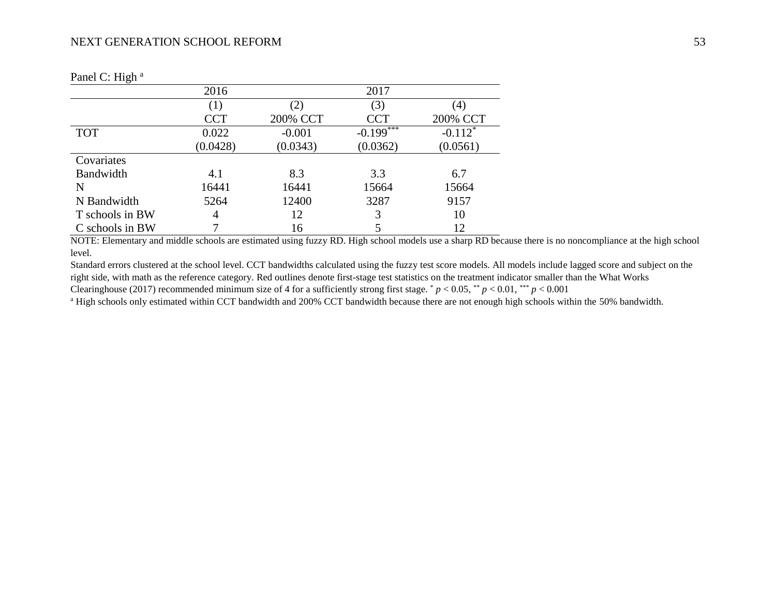|                 | 2016       |                   | 2017                    |                   |
|-----------------|------------|-------------------|-------------------------|-------------------|
|                 | (1)        | $\left( 2\right)$ | (3)                     | $\left( 4\right)$ |
|                 | <b>CCT</b> | 200% CCT          | <b>CCT</b>              | 200% CCT          |
| <b>TOT</b>      | 0.022      | $-0.001$          | $-0.199$ <sup>***</sup> | $-0.112*$         |
|                 | (0.0428)   | (0.0343)          | (0.0362)                | (0.0561)          |
| Covariates      |            |                   |                         |                   |
| Bandwidth       | 4.1        | 8.3               | 3.3                     | 6.7               |
| N               | 16441      | 16441             | 15664                   | 15664             |
| N Bandwidth     | 5264       | 12400             | 3287                    | 9157              |
| T schools in BW | 4          | 12                | 3                       | 10                |
| C schools in BW |            | 16                |                         | 12                |

Panel C: High <sup>a</sup>

NOTE: Elementary and middle schools are estimated using fuzzy RD. High school models use a sharp RD because there is no noncompliance at the high school level.

Standard errors clustered at the school level. CCT bandwidths calculated using the fuzzy test score models. All models include lagged score and subject on the right side, with math as the reference category. Red outlines denote first-stage test statistics on the treatment indicator smaller than the What Works Clearinghouse (2017) recommended minimum size of 4 for a sufficiently strong first stage.  $p < 0.05$ ,  $p < 0.01$ ,  $p < 0.001$ 

<sup>a</sup> High schools only estimated within CCT bandwidth and 200% CCT bandwidth because there are not enough high schools within the 50% bandwidth.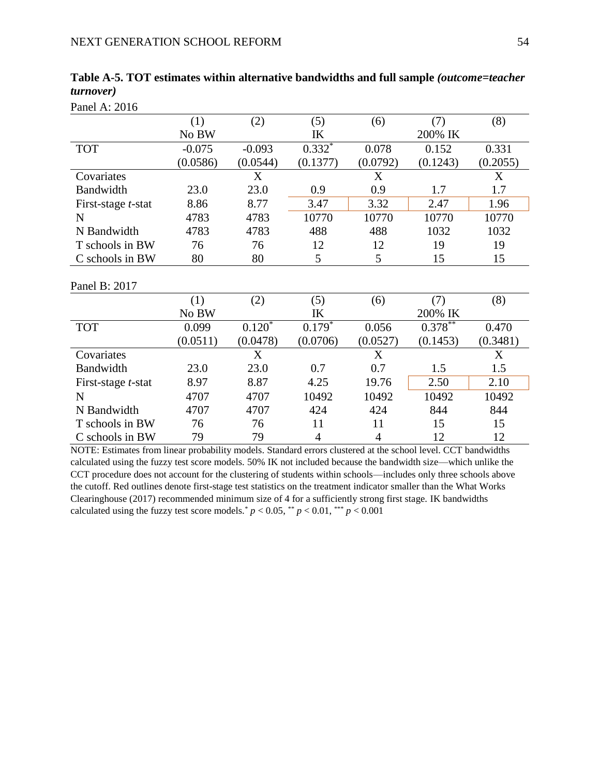|                            | (1)      | (2)      | (5)            | (6)            | (7)        | (8)      |
|----------------------------|----------|----------|----------------|----------------|------------|----------|
|                            | No BW    |          | IK             |                | 200% IK    |          |
| <b>TOT</b>                 | $-0.075$ | $-0.093$ | $0.332*$       | 0.078          | 0.152      | 0.331    |
|                            | (0.0586) | (0.0544) | (0.1377)       | (0.0792)       | (0.1243)   | (0.2055) |
| Covariates                 |          | X        |                | X              |            | X        |
| Bandwidth                  | 23.0     | 23.0     | 0.9            | 0.9            | 1.7        | 1.7      |
| First-stage <i>t</i> -stat | 8.86     | 8.77     | 3.47           | 3.32           | 2.47       | 1.96     |
| $\mathbf N$                | 4783     | 4783     | 10770          | 10770          | 10770      | 10770    |
| N Bandwidth                | 4783     | 4783     | 488            | 488            | 1032       | 1032     |
| T schools in BW            | 76       | 76       | 12             | 12             | 19         | 19       |
| C schools in BW            | 80       | 80       | 5              | 5              | 15         | 15       |
| Panel B: 2017              |          |          |                |                |            |          |
|                            | (1)      | (2)      | (5)            | (6)            | (7)        | (8)      |
|                            | No BW    |          | IK             |                | 200% IK    |          |
| <b>TOT</b>                 | 0.099    | $0.120*$ | $0.179*$       | 0.056          | $0.378***$ | 0.470    |
|                            | (0.0511) | (0.0478) | (0.0706)       | (0.0527)       | (0.1453)   | (0.3481) |
| Covariates                 |          | X        |                | X              |            | X        |
| Bandwidth                  | 23.0     | 23.0     | 0.7            | 0.7            | 1.5        | 1.5      |
| First-stage <i>t</i> -stat | 8.97     | 8.87     | 4.25           | 19.76          | 2.50       | 2.10     |
| $\mathbf N$                | 4707     | 4707     | 10492          | 10492          | 10492      | 10492    |
| N Bandwidth                | 4707     | 4707     | 424            | 424            | 844        | 844      |
| T schools in BW            | 76       | 76       | 11             | 11             | 15         | 15       |
| C schools in BW            | 79       | 79       | $\overline{4}$ | $\overline{4}$ | 12         | 12       |

<span id="page-54-0"></span>**Table A-5. TOT estimates within alternative bandwidths and full sample** *(outcome=teacher turnover)*

Panel A: 2016

NOTE: Estimates from linear probability models. Standard errors clustered at the school level. CCT bandwidths calculated using the fuzzy test score models. 50% IK not included because the bandwidth size—which unlike the CCT procedure does not account for the clustering of students within schools—includes only three schools above the cutoff. Red outlines denote first-stage test statistics on the treatment indicator smaller than the What Works Clearinghouse (2017) recommended minimum size of 4 for a sufficiently strong first stage. IK bandwidths calculated using the fuzzy test score models.<sup>\*</sup>  $p < 0.05$ , \*\*  $p < 0.01$ , \*\*\*  $p < 0.001$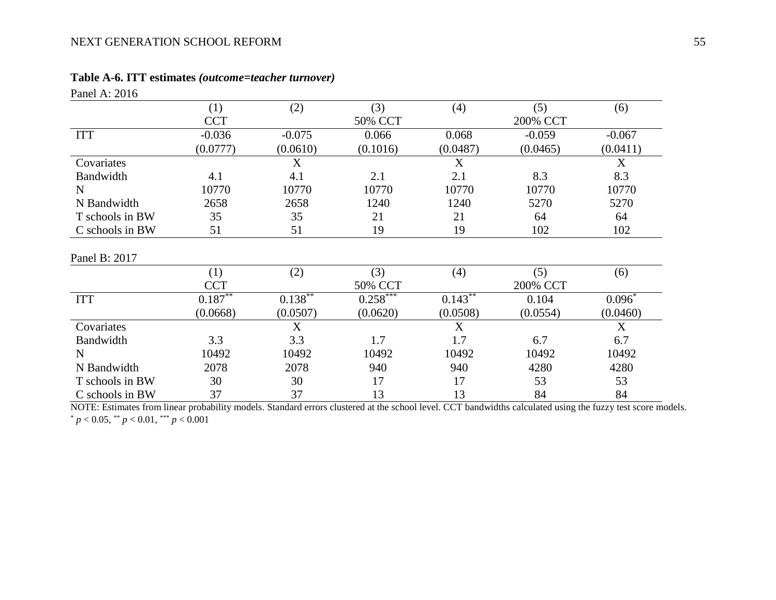### **Table A-6. ITT estimates** *(outcome=teacher turnover)*

| Panel A: 2016   |                   |            |                        |            |                 |             |
|-----------------|-------------------|------------|------------------------|------------|-----------------|-------------|
|                 | (1)               | (2)        | (3)                    | (4)        | (5)             | (6)         |
|                 | <b>CCT</b>        |            | 50% CCT                |            | 200% CCT        |             |
| <b>ITT</b>      | $-0.036$          | $-0.075$   | 0.066                  | 0.068      | $-0.059$        | $-0.067$    |
|                 | (0.0777)          | (0.0610)   | (0.1016)               | (0.0487)   | (0.0465)        | (0.0411)    |
| Covariates      |                   | X          |                        | X          |                 | $\mathbf X$ |
| Bandwidth       | 4.1               | 4.1        | 2.1                    | 2.1        | 8.3             | 8.3         |
| N               | 10770             | 10770      | 10770                  | 10770      | 10770           | 10770       |
| N Bandwidth     | 2658              | 2658       | 1240                   | 1240       | 5270            | 5270        |
| T schools in BW | 35                | 35         | 21                     | 21         | 64              | 64          |
| C schools in BW | 51                | 51         | 19                     | 19         | 102             | 102         |
| Panel B: 2017   |                   |            |                        |            |                 |             |
|                 | (1)<br><b>CCT</b> | (2)        | (3)<br>50% CCT         | (4)        | (5)<br>200% CCT | (6)         |
| <b>ITT</b>      | $0.187***$        | $0.138***$ | $0.258$ <sup>***</sup> | $0.143***$ | 0.104           | $0.096*$    |
|                 | (0.0668)          | (0.0507)   | (0.0620)               | (0.0508)   | (0.0554)        | (0.0460)    |
| Covariates      |                   | X          |                        | X          |                 | X           |
| Bandwidth       | 3.3               | 3.3        | 1.7                    | 1.7        | 6.7             | 6.7         |
| N               | 10492             | 10492      | 10492                  | 10492      | 10492           | 10492       |
| N Bandwidth     | 2078              | 2078       | 940                    | 940        | 4280            | 4280        |
| T schools in BW | 30                | 30         | 17                     | 17         | 53              | 53          |
| C schools in BW | 37                | 37         | 13                     | 13         | 84              | 84          |

<span id="page-55-0"></span>NOTE: Estimates from linear probability models. Standard errors clustered at the school level. CCT bandwidths calculated using the fuzzy test score models.  $p < 0.05$ ,  $\binom{p}{k} < 0.01$ ,  $\binom{p}{k} < 0.001$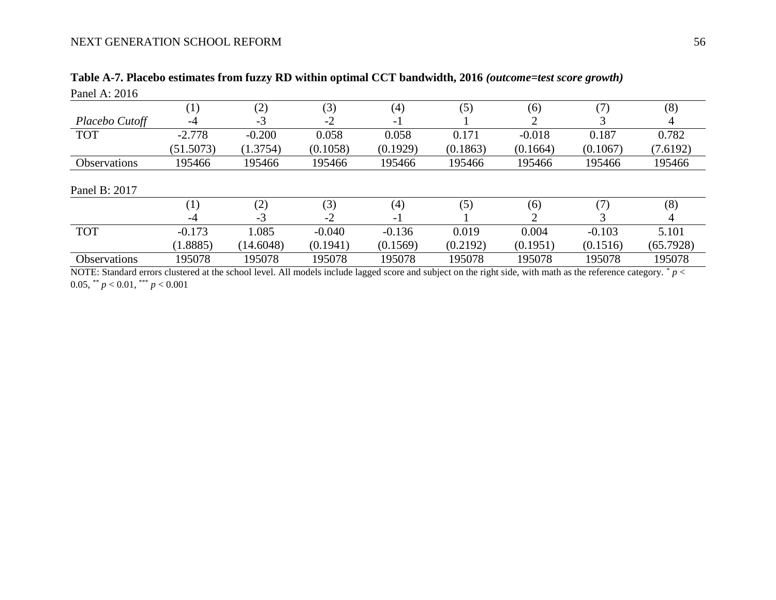(1.8885)

(14.6048)

| Panel A: 2016  |                   |          |          |          |          |          |          |          |
|----------------|-------------------|----------|----------|----------|----------|----------|----------|----------|
|                | $\left( 1\right)$ | (2)      | (3)      | (4)      | (5)      | (6)      |          | (8)      |
| Placebo Cutoff | -4                | $-3$     | $-2$     | - 1      |          |          |          |          |
| <b>TOT</b>     | $-2.778$          | $-0.200$ | 0.058    | 0.058    | 0.171    | $-0.018$ | 0.187    | 0.782    |
|                | (51.5073)         | (1.3754) | (0.1058) | (0.1929) | (0.1863) | (0.1664) | (0.1067) | (7.6192) |
| Observations   | 195466            | 195466   | 195466   | 195466   | 195466   | 195466   | 195466   | 195466   |
| Panel B: 2017  |                   |          |          |          |          |          |          |          |
|                | $\left( 1\right)$ | (2)      | (3)      | (4)      | (5)      | (6)      |          | (8)      |
|                | $-4$              | $-3$     | $-2$     | - 1      |          |          |          |          |
| <b>TOT</b>     | $-0.173$          | 1.085    | $-0.040$ | $-0.136$ | 0.019    | 0.004    | $-0.103$ | 5.101    |

# **Table A-7. Placebo estimates from fuzzy RD within optimal CCT bandwidth, 2016** *(outcome=test score growth)*

 $\frac{(0.1941)}{195078}$ 

NOTE: Standard errors clustered at the school level. All models include lagged score and subject on the right side, with math as the reference category. \* *p* < 0.05, \*\* *p* < 0.01, \*\*\* *p* < 0.001

<span id="page-56-0"></span>Observations 195078 195078 195078 195078 195078 195078 195078 195078

(0.1569)

(0.2192)

(0.1951)

(0.1516)

(65.7928)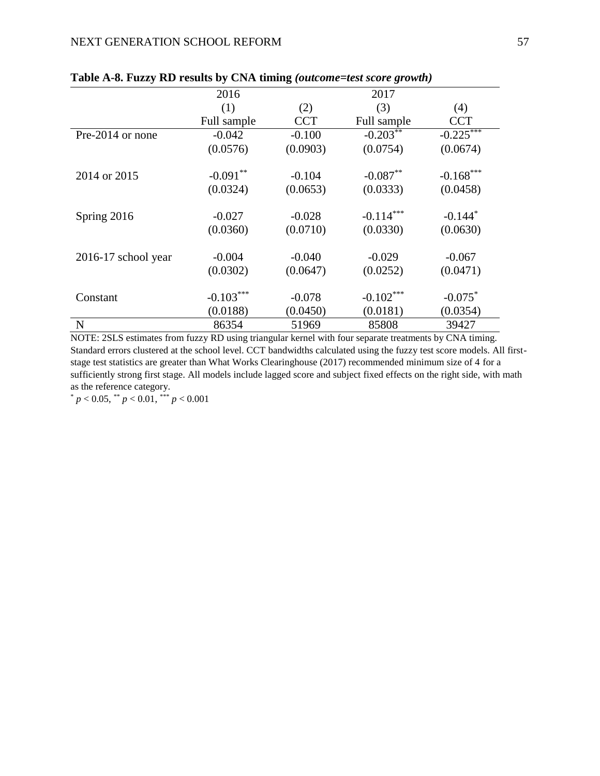|                       | 2016        |            | 2017        |             |
|-----------------------|-------------|------------|-------------|-------------|
|                       | (1)         | (2)        | (3)         | (4)         |
|                       | Full sample | <b>CCT</b> | Full sample | <b>CCT</b>  |
| Pre-2014 or none      | $-0.042$    | $-0.100$   | $-0.203***$ | $-0.225$    |
|                       | (0.0576)    | (0.0903)   | (0.0754)    | (0.0674)    |
|                       |             |            |             |             |
| 2014 or 2015          | $-0.091**$  | $-0.104$   | $-0.087**$  | $-0.168***$ |
|                       | (0.0324)    | (0.0653)   | (0.0333)    | (0.0458)    |
|                       |             |            |             |             |
| Spring 2016           | $-0.027$    | $-0.028$   | $-0.114***$ | $-0.144*$   |
|                       | (0.0360)    | (0.0710)   | (0.0330)    | (0.0630)    |
|                       | $-0.004$    | $-0.040$   | $-0.029$    | $-0.067$    |
| $2016-17$ school year |             |            |             |             |
|                       | (0.0302)    | (0.0647)   | (0.0252)    | (0.0471)    |
| Constant              | $-0.103***$ | $-0.078$   | $-0.102***$ | $-0.075^*$  |
|                       | (0.0188)    | (0.0450)   | (0.0181)    | (0.0354)    |
| N                     | 86354       | 51969      | 85808       | 39427       |

### <span id="page-57-0"></span>**Table A-8. Fuzzy RD results by CNA timing** *(outcome=test score growth)*

NOTE: 2SLS estimates from fuzzy RD using triangular kernel with four separate treatments by CNA timing. Standard errors clustered at the school level. CCT bandwidths calculated using the fuzzy test score models. All firststage test statistics are greater than What Works Clearinghouse (2017) recommended minimum size of 4 for a sufficiently strong first stage. All models include lagged score and subject fixed effects on the right side, with math as the reference category.

 $p < 0.05$ , \*\*  $p < 0.01$ , \*\*\*  $p < 0.001$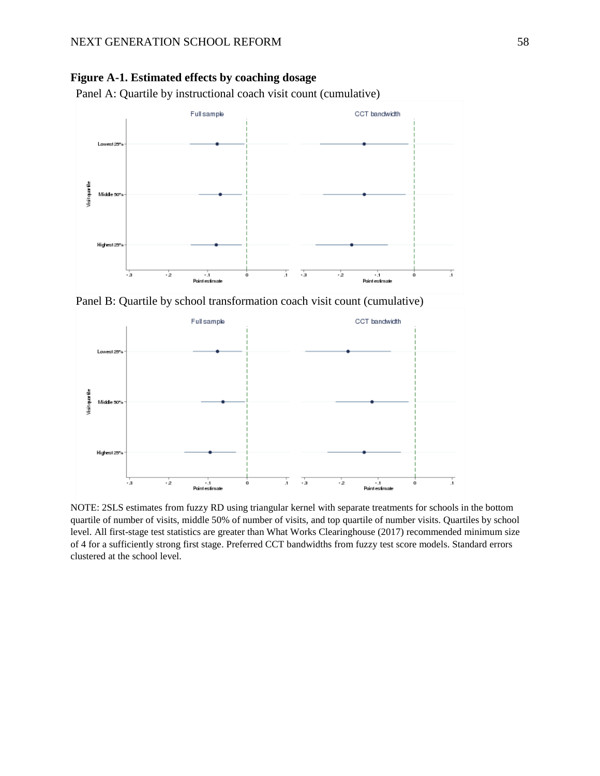<span id="page-58-0"></span>

Panel A: Quartile by instructional coach visit count (cumulative)



Panel B: Quartile by school transformation coach visit count (cumulative)



NOTE: 2SLS estimates from fuzzy RD using triangular kernel with separate treatments for schools in the bottom quartile of number of visits, middle 50% of number of visits, and top quartile of number visits. Quartiles by school level. All first-stage test statistics are greater than What Works Clearinghouse (2017) recommended minimum size of 4 for a sufficiently strong first stage. Preferred CCT bandwidths from fuzzy test score models. Standard errors clustered at the school level.